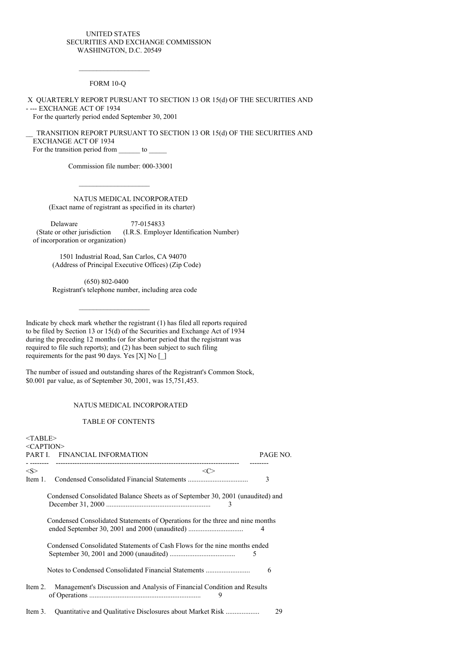## UNITED STATES SECURITIES AND EXCHANGE COMMISSION WASHINGTON, D.C. 20549

FORM 10-Q

X QUARTERLY REPORT PURSUANT TO SECTION 13 OR 15(d) OF THE SECURITIES AND - --- EXCHANGE ACT OF 1934 For the quarterly period ended September 30, 2001

TRANSITION REPORT PURSUANT TO SECTION 13 OR 15(d) OF THE SECURITIES AND EXCHANGE ACT OF 1934 For the transition period from \_\_\_\_\_\_\_ to \_\_\_\_\_\_\_

Commission file number: 000-33001

NATUS MEDICAL INCORPORATED (Exact name of registrant as specified in its charter)

Delaware 77-0154833 (State or other jurisdiction (I.R.S. Employer Identification Number) of incorporation or organization)

1501 Industrial Road, San Carlos, CA 94070 (Address of Principal Executive Offices) (Zip Code)

(650) 802-0400 Registrant's telephone number, including area code

Indicate by check mark whether the registrant (1) has filed all reports required to be filed by Section 13 or 15(d) of the Securities and Exchange Act of 1934 during the preceding 12 months (or for shorter period that the registrant was required to file such reports); and (2) has been subject to such filing requirements for the past 90 days. Yes [X] No [\_]

The number of issued and outstanding shares of the Registrant's Common Stock, \$0.001 par value, as of September 30, 2001, was 15,751,453.

## NATUS MEDICAL INCORPORATED

#### TABLE OF CONTENTS

| $<$ TABLE>   |                                                                                     |          |
|--------------|-------------------------------------------------------------------------------------|----------|
| $<$ CAPTION> |                                                                                     |          |
| PART I.      | FINANCIAL INFORMATION                                                               | PAGE NO. |
|              |                                                                                     |          |
| < S >        | $\langle C \rangle$                                                                 |          |
| Item 1.      |                                                                                     | 3        |
|              | Condensed Consolidated Balance Sheets as of September 30, 2001 (unaudited) and<br>3 |          |
|              | Condensed Consolidated Statements of Operations for the three and nine months       | 4        |
|              | Condensed Consolidated Statements of Cash Flows for the nine months ended<br>5      |          |
|              | Notes to Condensed Consolidated Financial Statements                                | 6        |
| Item 2.      | Management's Discussion and Analysis of Financial Condition and Results<br>9        |          |
| Item 3.      |                                                                                     | 29       |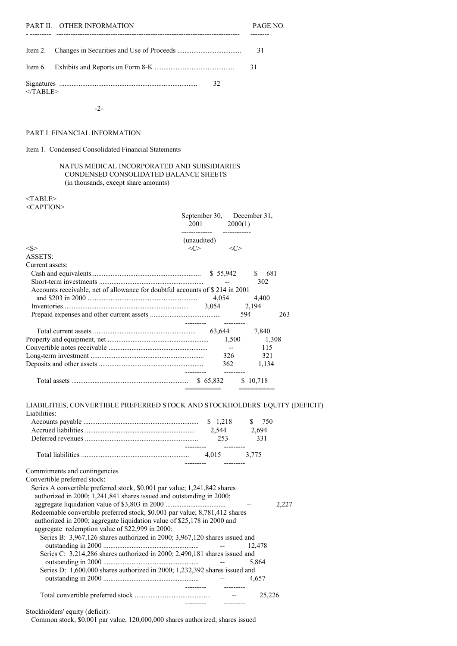|            | PART II. OTHER INFORMATION | PAGE NO. |
|------------|----------------------------|----------|
|            |                            |          |
|            |                            | -31      |
|            |                            | -31      |
| $<$ TABLE> | 32                         |          |

-2-

## PART I. FINANCIAL INFORMATION

Item 1. Condensed Consolidated Financial Statements

## NATUS MEDICAL INCORPORATED AND SUBSIDIARIES CONDENSED CONSOLIDATED BALANCE SHEETS (in thousands, except share amounts)

## <TABLE> <CAPTION>

|                                                                              |             | September 30, December 31,<br>2001 — 2001 — 2002 — 2003 — 2004 — 2004 — 2004 — 2004 — 2004 — 2004 — 2004 — 2004 — 2005 — 2005 — 2005 — 2005 — 2005 — 2005 — 2005 — 2005 — 2005 — 2005 — 2005 — 2005 — 2005 — 2005 — 2005 — 2005 — 2005 — 2005 — 2005 — 2005 — |                      | 2000(1)  |       |     |
|------------------------------------------------------------------------------|-------------|---------------------------------------------------------------------------------------------------------------------------------------------------------------------------------------------------------------------------------------------------------------|----------------------|----------|-------|-----|
|                                                                              | (unaudited) |                                                                                                                                                                                                                                                               |                      |          |       |     |
| $<\!\!S\!\!>$                                                                | <<>         |                                                                                                                                                                                                                                                               |                      |          |       |     |
| <b>ASSETS:</b>                                                               |             |                                                                                                                                                                                                                                                               |                      |          |       |     |
| Current assets:                                                              |             |                                                                                                                                                                                                                                                               |                      |          |       |     |
|                                                                              |             |                                                                                                                                                                                                                                                               | \$55,942             | \$       | 681   |     |
|                                                                              |             |                                                                                                                                                                                                                                                               |                      |          | 302   |     |
| Accounts receivable, net of allowance for doubtful accounts of \$214 in 2001 |             |                                                                                                                                                                                                                                                               |                      |          |       |     |
|                                                                              |             | 4,054                                                                                                                                                                                                                                                         |                      | 4,400    |       |     |
|                                                                              |             | 3,054                                                                                                                                                                                                                                                         |                      | 2,194    |       |     |
|                                                                              |             |                                                                                                                                                                                                                                                               |                      | 594      |       | 263 |
|                                                                              |             |                                                                                                                                                                                                                                                               |                      |          |       |     |
|                                                                              |             |                                                                                                                                                                                                                                                               |                      | 7,840    |       |     |
|                                                                              |             |                                                                                                                                                                                                                                                               |                      | 1,500    | 1,308 |     |
|                                                                              |             |                                                                                                                                                                                                                                                               | $\sim$ $\sim$ $\sim$ |          | 115   |     |
|                                                                              |             |                                                                                                                                                                                                                                                               | 326                  |          | 321   |     |
|                                                                              |             |                                                                                                                                                                                                                                                               | 362                  |          | 1,134 |     |
|                                                                              |             |                                                                                                                                                                                                                                                               |                      | \$10,718 |       |     |

## LIABILITIES, CONVERTIBLE PREFERRED STOCK AND STOCKHOLDERS' EQUITY (DEFICIT)

--------- ---------

--------- ---------

| Liabilities: |          |        |
|--------------|----------|--------|
|              | \$ 1.218 | \$ 750 |
|              | 2.544    | 2.694  |
|              | 253      | 331    |
|              |          |        |
|              | 4.015    | 3.775  |

Commitments and contingencies

Convertible preferred stock.

| onvertible preferred stock.                                                 |        |       |
|-----------------------------------------------------------------------------|--------|-------|
| Series A convertible preferred stock, \$0.001 par value; 1,241,842 shares   |        |       |
| authorized in 2000; 1,241,841 shares issued and outstanding in 2000;        |        |       |
|                                                                             |        | 2.227 |
| Redeemable convertible preferred stock, \$0.001 par value; 8,781,412 shares |        |       |
| authorized in 2000; aggregate liquidation value of \$25,178 in 2000 and     |        |       |
| aggregate redemption value of \$22,999 in 2000:                             |        |       |
| Series B: 3,967,126 shares authorized in 2000; 3,967,120 shares issued and  |        |       |
|                                                                             | 12.478 |       |
| Series C: 3,214,286 shares authorized in 2000; 2,490,181 shares issued and  |        |       |
|                                                                             | 5.864  |       |
| Series D: 1,600,000 shares authorized in 2000; 1,232,392 shares issued and  |        |       |
|                                                                             | 4.657  |       |
|                                                                             |        |       |
|                                                                             | 25.226 |       |
|                                                                             |        |       |

Stockholders' equity (deficit):

Common stock, \$0.001 par value, 120,000,000 shares authorized; shares issued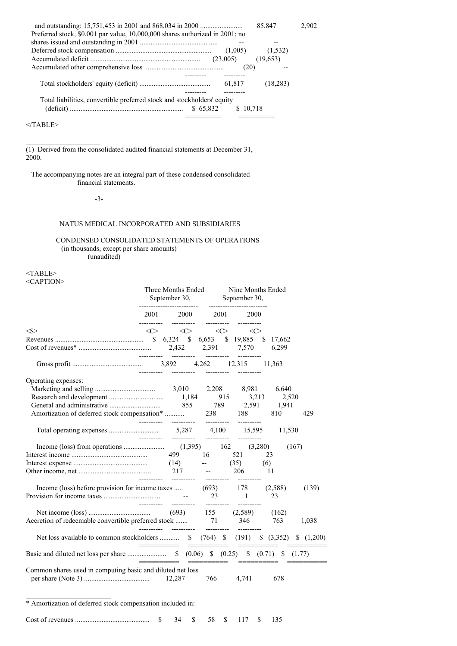|                                                                              |          | 85,847    | 2.902 |
|------------------------------------------------------------------------------|----------|-----------|-------|
| Preferred stock, \$0.001 par value, 10,000,000 shares authorized in 2001; no |          |           |       |
|                                                                              |          |           |       |
|                                                                              | (1,005)  | (1, 532)  |       |
|                                                                              | (23,005) | (19,653)  |       |
|                                                                              | (20)     |           |       |
|                                                                              |          |           |       |
|                                                                              | 61,817   | (18, 283) |       |
|                                                                              |          |           |       |
| Total liabilities, convertible preferred stock and stockholders' equity      |          |           |       |
| \$65,832                                                                     | \$10,718 |           |       |
|                                                                              |          |           |       |
| $\langle$ TABLE>                                                             |          |           |       |

(1) Derived from the consolidated audited financial statements at December 31, 2000.

The accompanying notes are an integral part of these condensed consolidated financial statements.

## -3-

## NATUS MEDICAL INCORPORATED AND SUBSIDIARIES

## CONDENSED CONSOLIDATED STATEMENTS OF OPERATIONS (in thousands, except per share amounts) (unaudited)

<TABLE> <CAPTION>

|                                                                                    | Three Months Ended<br>September 30, September 30,<br>------------------------- |                                   | <b>Nine Months Ended</b><br>------------------- |                                                                                 |     |                 |       |       |
|------------------------------------------------------------------------------------|--------------------------------------------------------------------------------|-----------------------------------|-------------------------------------------------|---------------------------------------------------------------------------------|-----|-----------------|-------|-------|
|                                                                                    |                                                                                | ----------  ---------  ---------- |                                                 | 2001 2000 2001 2000<br>-----------                                              |     |                 |       |       |
| < S >                                                                              |                                                                                |                                   |                                                 | $\langle C \rangle$ $\langle C \rangle$ $\langle C \rangle$ $\langle C \rangle$ |     |                 |       |       |
|                                                                                    |                                                                                |                                   |                                                 |                                                                                 |     | 17,662<br>6,299 |       |       |
|                                                                                    |                                                                                |                                   |                                                 |                                                                                 |     |                 |       |       |
| Operating expenses:                                                                |                                                                                |                                   |                                                 |                                                                                 |     | 2,520           |       |       |
|                                                                                    |                                                                                |                                   |                                                 |                                                                                 |     |                 |       | 429   |
|                                                                                    | __________                                                                     | -----------                       | -----------                                     |                                                                                 |     | 11,530          |       |       |
|                                                                                    |                                                                                |                                   |                                                 |                                                                                 |     |                 | (167) |       |
|                                                                                    |                                                                                |                                   |                                                 |                                                                                 | (6) | 23              |       |       |
|                                                                                    |                                                                                |                                   |                                                 |                                                                                 |     | -11             |       |       |
| Income (loss) before provision for income taxes  (693) 178 (2,588)                 |                                                                                |                                   |                                                 | $23 \qquad \qquad 1$<br>----------  ---------  ---------                        |     | 23              |       | (139) |
| Accretion of redeemable convertible preferred stock  71 346                        |                                                                                | ----------  ---------  ---------- |                                                 |                                                                                 |     | 763             |       | 1,038 |
| Net loss available to common stockholders  \$ (764) \$ (191) \$ (3,352) \$ (1,200) |                                                                                |                                   |                                                 |                                                                                 |     |                 |       |       |
|                                                                                    |                                                                                |                                   |                                                 |                                                                                 |     |                 |       |       |
| Common shares used in computing basic and diluted net loss                         |                                                                                |                                   |                                                 | 766 4,741                                                                       |     | 678             |       |       |

\* Amortization of deferred stock compensation included in:

|  |  |  |  |  |  | \$ 58 \$ 117 \$ 135 |  |  |
|--|--|--|--|--|--|---------------------|--|--|
|--|--|--|--|--|--|---------------------|--|--|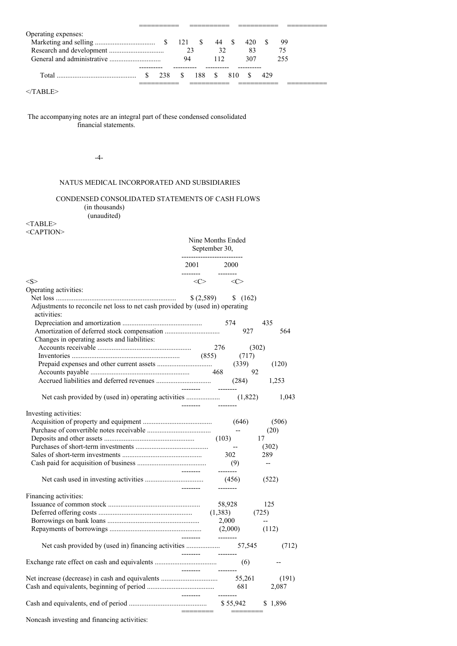| Operating expenses: |     |          |         |     |     |     |     |     |
|---------------------|-----|----------|---------|-----|-----|-----|-----|-----|
|                     |     |          |         |     |     |     |     | 99  |
|                     |     | 23       |         | 32  |     | 83  |     |     |
|                     |     | 94       |         | 112 |     | 307 |     | 255 |
|                     |     |          |         |     |     |     |     |     |
|                     | 238 | $\sim$ S | $188 -$ |     | 810 |     | 429 |     |
|                     |     |          |         |     |     |     |     |     |

## $<$ /TABLE>

The accompanying notes are an integral part of these condensed consolidated financial statements.

-4-

## NATUS MEDICAL INCORPORATED AND SUBSIDIARIES

## CONDENSED CONSOLIDATED STATEMENTS OF CASH FLOWS (in thousands)

(unaudited)

## <TABLE>

<CAPTION>

|                                                                               | Nine Months Ended<br>September 30,<br>-------------------------- |                          |                  |
|-------------------------------------------------------------------------------|------------------------------------------------------------------|--------------------------|------------------|
|                                                                               | 2001                                                             | 2000                     |                  |
| < S >                                                                         | --------<br>$\langle C \rangle$                                  | $\langle C \rangle$      |                  |
| Operating activities:                                                         |                                                                  |                          |                  |
|                                                                               | (2,589)                                                          | \$(162)                  |                  |
| Adjustments to reconcile net loss to net cash provided by (used in) operating |                                                                  |                          |                  |
| activities:                                                                   |                                                                  |                          |                  |
|                                                                               |                                                                  | 574                      | 435              |
|                                                                               |                                                                  |                          | 564<br>927       |
| Changes in operating assets and liabilities:                                  |                                                                  |                          |                  |
|                                                                               |                                                                  | 276                      | (302)            |
|                                                                               | (855)                                                            |                          | (717)            |
|                                                                               |                                                                  | (339)                    | (120)            |
|                                                                               |                                                                  | 468                      | 92               |
|                                                                               | ---------                                                        | (284)<br>$-----$         | 1,253            |
|                                                                               | --------                                                         |                          | (1,822)<br>1,043 |
| Investing activities:                                                         |                                                                  |                          |                  |
|                                                                               |                                                                  | (646)                    | (506)            |
|                                                                               |                                                                  |                          | (20)             |
|                                                                               |                                                                  | (103)                    | 17               |
|                                                                               |                                                                  | $\overline{\phantom{a}}$ | (302)            |
|                                                                               |                                                                  | 302                      | 289              |
|                                                                               |                                                                  | (9)                      | $\overline{a}$   |
|                                                                               | $- - - - - - -$                                                  | --------                 |                  |
|                                                                               |                                                                  | (456)<br>--------        | (522)            |
| Financing activities:                                                         |                                                                  |                          |                  |
|                                                                               |                                                                  | 58,928                   | 125              |
|                                                                               |                                                                  | (1,383)                  | (725)            |
|                                                                               |                                                                  | 2,000                    |                  |
|                                                                               |                                                                  | (2,000)                  | (112)            |
|                                                                               |                                                                  | ---------                | 57,545<br>(712)  |
|                                                                               | ---------                                                        | ---------                |                  |
|                                                                               |                                                                  | (6)                      |                  |
|                                                                               | --------                                                         | 55,261                   | (191)            |
|                                                                               |                                                                  | 681                      | 2,087            |
|                                                                               | --------                                                         | --------                 |                  |
|                                                                               |                                                                  | \$55,942                 | \$1,896          |
| Noncash investing and financing activities:                                   |                                                                  |                          |                  |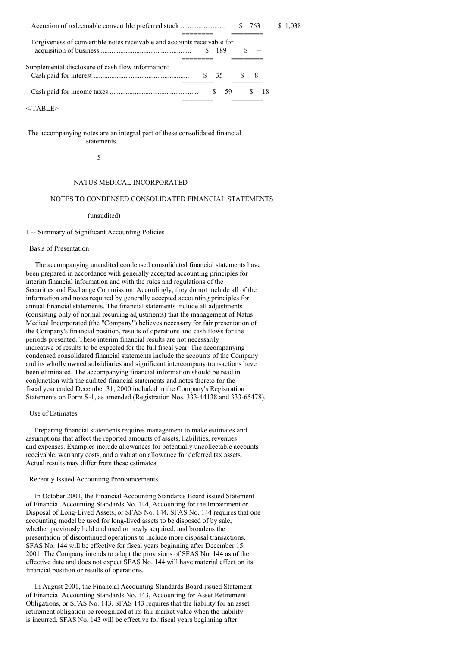| Accretion of redeemable convertible preferred stock                     | 763<br>S. | 1.038    |  |
|-------------------------------------------------------------------------|-----------|----------|--|
| Forgiveness of convertible notes receivable and accounts receivable for | 189       |          |  |
|                                                                         |           |          |  |
| Supplemental disclosure of cash flow information:                       | 35        | £.<br>-8 |  |
|                                                                         | 59        | 18       |  |

 $<$ /TABLE>

The accompanying notes are an integral part of these consolidated financial statements.

-5-

## NATUS MEDICAL INCORPORATED

## NOTES TO CONDENSED CONSOLIDATED FINANCIAL STATEMENTS

(unaudited)

#### 1 -- Summary of Significant Accounting Policies

## Basis of Presentation

The accompanying unaudited condensed consolidated financial statements have been prepared in accordance with generally accepted accounting principles for interim financial information and with the rules and regulations of the Securities and Exchange Commission. Accordingly, they do not include all of the information and notes required by generally accepted accounting principles for annual financial statements. The financial statements include all adjustments (consisting only of normal recurring adjustments) that the management of Natus Medical Incorporated (the "Company") believes necessary for fair presentation of the Company's financial position, results of operations and cash flows for the periods presented. These interim financial results are not necessarily indicative of results to be expected for the full fiscal year. The accompanying condensed consolidated financial statements include the accounts of the Company and its wholly owned subsidiaries and significant intercompany transactions have been eliminated. The accompanying financial information should be read in conjunction with the audited financial statements and notes thereto for the fiscal year ended December 31, 2000 included in the Company's Registration Statements on Form S-1, as amended (Registration Nos. 333-44138 and 333-65478).

#### Use of Estimates

Preparing financial statements requires management to make estimates and assumptions that affect the reported amounts of assets, liabilities, revenues and expenses. Examples include allowances for potentially uncollectable accounts receivable, warranty costs, and a valuation allowance for deferred tax assets. Actual results may differ from these estimates.

#### Recently Issued Accounting Pronouncements

In October 2001, the Financial Accounting Standards Board issued Statement of Financial Accounting Standards No. 144, Accounting for the Impairment or Disposal of Long-Lived Assets, or SFAS No. 144. SFAS No. 144 requires that one accounting model be used for long-lived assets to be disposed of by sale, whether previously held and used or newly acquired, and broadens the presentation of discontinued operations to include more disposal transactions. SFAS No. 144 will be effective for fiscal years beginning after December 15, 2001. The Company intends to adopt the provisions of SFAS No. 144 as of the effective date and does not expect SFAS No. 144 will have material effect on its financial position or results of operations.

In August 2001, the Financial Accounting Standards Board issued Statement of Financial Accounting Standards No. 143, Accounting for Asset Retirement Obligations, or SFAS No. 143. SFAS 143 requires that the liability for an asset retirement obligation be recognized at its fair market value when the liability is incurred. SFAS No. 143 will be effective for fiscal years beginning after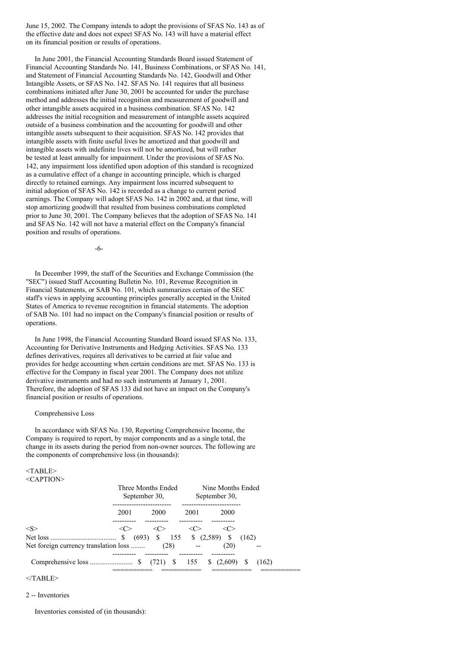June 15, 2002. The Company intends to adopt the provisions of SFAS No. 143 as of the effective date and does not expect SFAS No. 143 will have a material effect on its financial position or results of operations.

In June 2001, the Financial Accounting Standards Board issued Statement of Financial Accounting Standards No. 141, Business Combinations, or SFAS No. 141, and Statement of Financial Accounting Standards No. 142, Goodwill and Other Intangible Assets, or SFAS No. 142. SFAS No. 141 requires that all business combinations initiated after June 30, 2001 be accounted for under the purchase method and addresses the initial recognition and measurement of goodwill and other intangible assets acquired in a business combination. SFAS No. 142 addresses the initial recognition and measurement of intangible assets acquired outside of a business combination and the accounting for goodwill and other intangible assets subsequent to their acquisition. SFAS No. 142 provides that intangible assets with finite useful lives be amortized and that goodwill and intangible assets with indefinite lives will not be amortized, but will rather be tested at least annually for impairment. Under the provisions of SFAS No. 142, any impairment loss identified upon adoption of this standard is recognized as a cumulative effect of a change in accounting principle, which is charged directly to retained earnings. Any impairment loss incurred subsequent to initial adoption of SFAS No. 142 is recorded as a change to current period earnings. The Company will adopt SFAS No. 142 in 2002 and, at that time, will stop amortizing goodwill that resulted from business combinations completed prior to June 30, 2001. The Company believes that the adoption of SFAS No. 141 and SFAS No. 142 will not have a material effect on the Company's financial position and results of operations.

-6-

In December 1999, the staff of the Securities and Exchange Commission (the "SEC") issued Staff Accounting Bulletin No. 101, Revenue Recognition in Financial Statements, or SAB No. 101, which summarizes certain of the SEC staff's views in applying accounting principles generally accepted in the United States of America to revenue recognition in financial statements. The adoption of SAB No. 101 had no impact on the Company's financial position or results of operations.

In June 1998, the Financial Accounting Standard Board issued SFAS No. 133, Accounting for Derivative Instruments and Hedging Activities. SFAS No. 133 defines derivatives, requires all derivatives to be carried at fair value and provides for hedge accounting when certain conditions are met. SFAS No. 133 is effective for the Company in fiscal year 2001. The Company does not utilize derivative instruments and had no such instruments at January 1, 2001. Therefore, the adoption of SFAS 133 did not have an impact on the Company's financial position or results of operations.

#### Comprehensive Loss

In accordance with SFAS No. 130, Reporting Comprehensive Income, the Company is required to report, by major components and as a single total, the change in its assets during the period from non-owner sources. The following are the components of comprehensive loss (in thousands):

#### <TABLE>  $\angle C$  A DTION

| $\sim$ AF HUN $\sim$                  | Three Months Ended<br>September 30, |      |                                 | Nine Months Ended<br>September 30, |       |
|---------------------------------------|-------------------------------------|------|---------------------------------|------------------------------------|-------|
|                                       | 2001                                | 2000 | 2001                            | 2000                               |       |
| $<\!\!S\!\!>$                         | $(693)$ \$                          | <∈ > | $\leq$ $\geq$<br>155 \$ (2,589) | <ো><br><sup>\$</sup>               | (162) |
| Net foreign currency translation loss |                                     | (28) |                                 | (20)                               |       |
|                                       |                                     |      |                                 |                                    | (162) |

 $<$ /TABLE>

### 2 -- Inventories

Inventories consisted of (in thousands):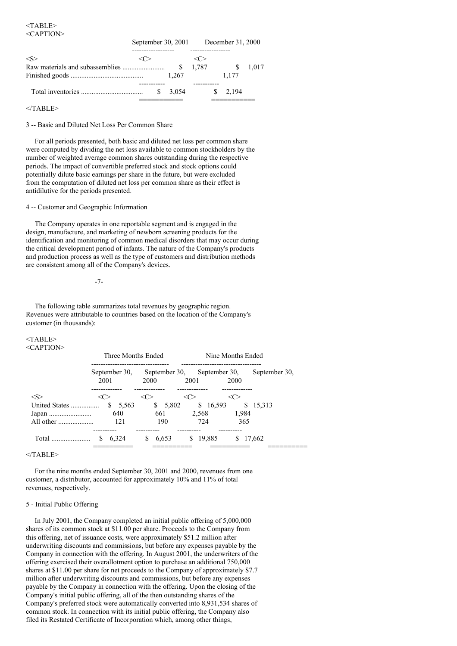<TABLE> <CAPTION>

|         |  | September 30, 2001 December 31, 2000 |       |  |       |       |
|---------|--|--------------------------------------|-------|--|-------|-------|
| $<\!S>$ |  |                                      |       |  |       |       |
|         |  |                                      | 1.787 |  |       | 1.017 |
|         |  | 1.267                                |       |  | 1.177 |       |
|         |  |                                      |       |  |       |       |
|         |  | 3.054                                |       |  | 2.194 |       |
|         |  |                                      |       |  |       |       |

 $<$ /TABLE>

3 -- Basic and Diluted Net Loss Per Common Share

For all periods presented, both basic and diluted net loss per common share were computed by dividing the net loss available to common stockholders by the number of weighted average common shares outstanding during the respective periods. The impact of convertible preferred stock and stock options could potentially dilute basic earnings per share in the future, but were excluded from the computation of diluted net loss per common share as their effect is antidilutive for the periods presented.

### 4 -- Customer and Geographic Information

The Company operates in one reportable segment and is engaged in the design, manufacture, and marketing of newborn screening products for the identification and monitoring of common medical disorders that may occur during the critical development period of infants. The nature of the Company's products and production process as well as the type of customers and distribution methods are consistent among all of the Company's devices.

-7-

The following table summarizes total revenues by geographic region. Revenues were attributable to countries based on the location of the Company's customer (in thousands):

#### <TABLE>  $\leq C$  A PTIONS

| NUMBER 11     | Three Months Ended    |             | Nine Months Ended                           |               |  |  |
|---------------|-----------------------|-------------|---------------------------------------------|---------------|--|--|
|               | September 30,<br>2001 | 2000        | September 30, September 30,<br>2001<br>2000 | September 30, |  |  |
| $<\leq>$      |                       |             |                                             |               |  |  |
| United States | S<br>5,563            | S.<br>5,802 | \$16,593                                    | \$ 15,313     |  |  |
|               | 640                   | 661         | 2.568                                       | 1.984         |  |  |
| All other     | 121                   | 190         | 724                                         | 365           |  |  |
| Total         | 6.324<br>S            | 6.653<br>S  | 19.885<br>S                                 | 17.662        |  |  |
|               | ________              | ________    | ________                                    |               |  |  |

 $<$ /TABLE>

For the nine months ended September 30, 2001 and 2000, revenues from one customer, a distributor, accounted for approximately 10% and 11% of total revenues, respectively.

## 5 - Initial Public Offering

In July 2001, the Company completed an initial public offering of 5,000,000 shares of its common stock at \$11.00 per share. Proceeds to the Company from this offering, net of issuance costs, were approximately \$51.2 million after underwriting discounts and commissions, but before any expenses payable by the Company in connection with the offering. In August 2001, the underwriters of the offering exercised their overallotment option to purchase an additional 750,000 shares at \$11.00 per share for net proceeds to the Company of approximately \$7.7 million after underwriting discounts and commissions, but before any expenses payable by the Company in connection with the offering. Upon the closing of the Company's initial public offering, all of the then outstanding shares of the Company's preferred stock were automatically converted into 8,931,534 shares of common stock. In connection with its initial public offering, the Company also filed its Restated Certificate of Incorporation which, among other things,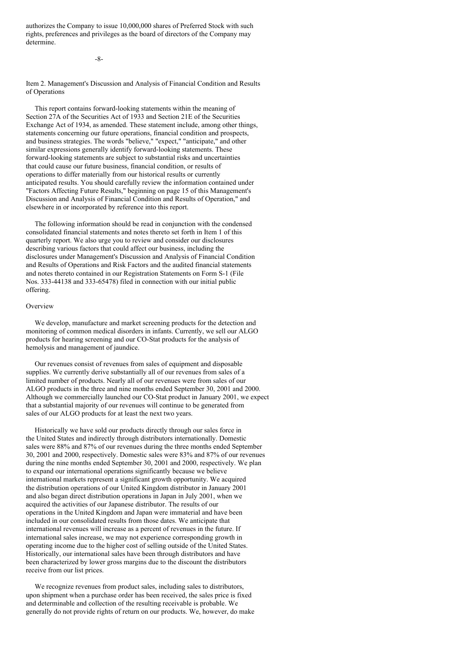authorizes the Company to issue 10,000,000 shares of Preferred Stock with such rights, preferences and privileges as the board of directors of the Company may determine.

 $-8$ 

Item 2. Management's Discussion and Analysis of Financial Condition and Results of Operations

This report contains forward-looking statements within the meaning of Section 27A of the Securities Act of 1933 and Section 21E of the Securities Exchange Act of 1934, as amended. These statement include, among other things, statements concerning our future operations, financial condition and prospects, and business strategies. The words "believe," "expect," "anticipate," and other similar expressions generally identify forward-looking statements. These forward-looking statements are subject to substantial risks and uncertainties that could cause our future business, financial condition, or results of operations to differ materially from our historical results or currently anticipated results. You should carefully review the information contained under "Factors Affecting Future Results," beginning on page 15 of this Management's Discussion and Analysis of Financial Condition and Results of Operation," and elsewhere in or incorporated by reference into this report.

The following information should be read in conjunction with the condensed consolidated financial statements and notes thereto set forth in Item 1 of this quarterly report. We also urge you to review and consider our disclosures describing various factors that could affect our business, including the disclosures under Management's Discussion and Analysis of Financial Condition and Results of Operations and Risk Factors and the audited financial statements and notes thereto contained in our Registration Statements on Form S-1 (File Nos. 333-44138 and 333-65478) filed in connection with our initial public offering.

## Overview

We develop, manufacture and market screening products for the detection and monitoring of common medical disorders in infants. Currently, we sell our ALGO products for hearing screening and our CO-Stat products for the analysis of hemolysis and management of jaundice.

Our revenues consist of revenues from sales of equipment and disposable supplies. We currently derive substantially all of our revenues from sales of a limited number of products. Nearly all of our revenues were from sales of our ALGO products in the three and nine months ended September 30, 2001 and 2000. Although we commercially launched our CO-Stat product in January 2001, we expect that a substantial majority of our revenues will continue to be generated from sales of our ALGO products for at least the next two years.

Historically we have sold our products directly through our sales force in the United States and indirectly through distributors internationally. Domestic sales were 88% and 87% of our revenues during the three months ended September 30, 2001 and 2000, respectively. Domestic sales were 83% and 87% of our revenues during the nine months ended September 30, 2001 and 2000, respectively. We plan to expand our international operations significantly because we believe international markets represent a significant growth opportunity. We acquired the distribution operations of our United Kingdom distributor in January 2001 and also began direct distribution operations in Japan in July 2001, when we acquired the activities of our Japanese distributor. The results of our operations in the United Kingdom and Japan were immaterial and have been included in our consolidated results from those dates. We anticipate that international revenues will increase as a percent of revenues in the future. If international sales increase, we may not experience corresponding growth in operating income due to the higher cost of selling outside of the United States. Historically, our international sales have been through distributors and have been characterized by lower gross margins due to the discount the distributors receive from our list prices.

We recognize revenues from product sales, including sales to distributors, upon shipment when a purchase order has been received, the sales price is fixed and determinable and collection of the resulting receivable is probable. We generally do not provide rights of return on our products. We, however, do make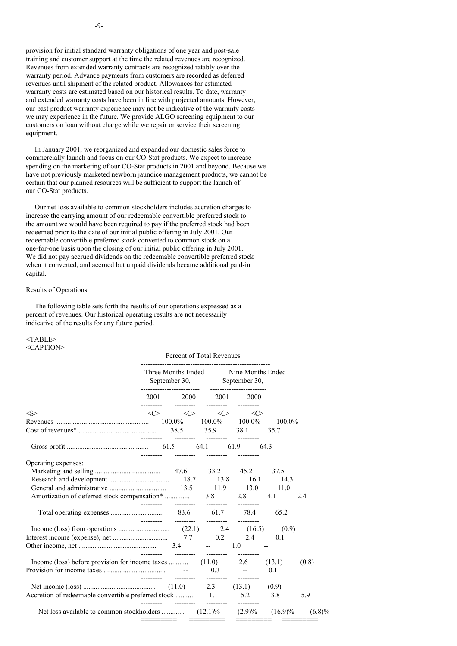provision for initial standard warranty obligations of one year and post-sale training and customer support at the time the related revenues are recognized. Revenues from extended warranty contracts are recognized ratably over the warranty period. Advance payments from customers are recorded as deferred revenues until shipment of the related product. Allowances for estimated warranty costs are estimated based on our historical results. To date, warranty and extended warranty costs have been in line with projected amounts. However, our past product warranty experience may not be indicative of the warranty costs we may experience in the future. We provide ALGO screening equipment to our customers on loan without charge while we repair or service their screening equipment.

In January 2001, we reorganized and expanded our domestic sales force to commercially launch and focus on our CO-Stat products. We expect to increase spending on the marketing of our CO-Stat products in 2001 and beyond. Because we have not previously marketed newborn jaundice management products, we cannot be certain that our planned resources will be sufficient to support the launch of our CO-Stat products.

Our net loss available to common stockholders includes accretion charges to increase the carrying amount of our redeemable convertible preferred stock to the amount we would have been required to pay if the preferred stock had been redeemed prior to the date of our initial public offering in July 2001. Our redeemable convertible preferred stock converted to common stock on a one-for-one basis upon the closing of our initial public offering in July 2001. We did not pay accrued dividends on the redeemable convertible preferred stock when it converted, and accrued but unpaid dividends became additional paid-in capital.

## Results of Operations

The following table sets forth the results of our operations expressed as a percent of revenues. Our historical operating results are not necessarily indicative of the results for any future period.

# <TABLE>

## <CAPTION>

|                                                                    | Percent of Total Revenues |                                                                            |  |                                                                     |                                                                                 |                             |       |
|--------------------------------------------------------------------|---------------------------|----------------------------------------------------------------------------|--|---------------------------------------------------------------------|---------------------------------------------------------------------------------|-----------------------------|-------|
|                                                                    |                           |                                                                            |  | Three Months Ended Nine Months Ended<br>September 30, September 30, |                                                                                 |                             |       |
|                                                                    |                           | $2001 \qquad \quad 2000 \qquad \quad 2001 \qquad \quad 2000$<br>---------- |  | ----------                                                          |                                                                                 |                             |       |
| < S >                                                              |                           |                                                                            |  |                                                                     | $\langle C \rangle$ $\langle C \rangle$ $\langle C \rangle$ $\langle C \rangle$ |                             |       |
|                                                                    |                           | ---------  --------  --------                                              |  |                                                                     |                                                                                 | 100.0%<br>35.7              |       |
|                                                                    |                           |                                                                            |  |                                                                     |                                                                                 |                             |       |
| Operating expenses:                                                |                           |                                                                            |  |                                                                     |                                                                                 | 14.3<br>4.1                 | 2.4   |
|                                                                    |                           |                                                                            |  |                                                                     |                                                                                 | 65.2                        |       |
|                                                                    |                           |                                                                            |  |                                                                     | 2.4<br><b>Service Contract</b>                                                  | (0.9)<br>0.1                |       |
| Income (loss) before provision for income taxes  (11.0) 2.6 (13.1) |                           | _________  _________  ________                                             |  |                                                                     |                                                                                 | 0.1                         | (0.8) |
| Accretion of redeemable convertible preferred stock  1.1 5.2 3.8   |                           |                                                                            |  |                                                                     |                                                                                 |                             | 5.9   |
|                                                                    |                           | =========  =========                                                       |  |                                                                     |                                                                                 | =========         ========= |       |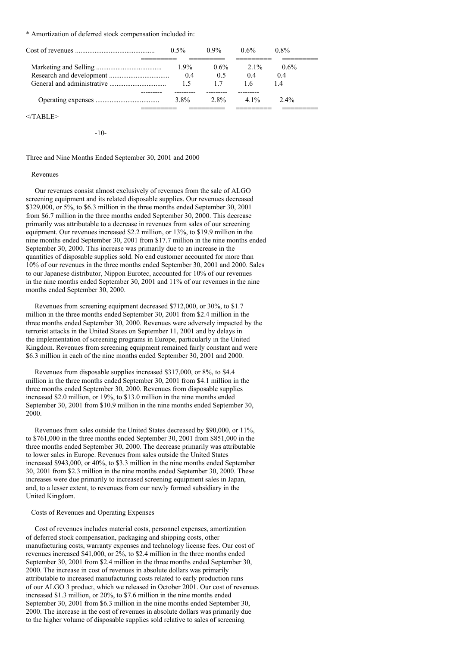#### \* Amortization of deferred stock compensation included in:

| $0.5\%$        | $0.9\%$        | $0.6\%$       | 0.8%           |
|----------------|----------------|---------------|----------------|
| $1.9\%$<br>0.4 | $0.6\%$<br>0.5 | $2.1\%$<br>04 | $0.6\%$<br>0.4 |
| 15             |                | ⊥6            | l 4            |
| 3.8%           | $2.8\%$        | $41\%$        | $2.4\%$        |

 $<$ /TABLE>

-10-

Three and Nine Months Ended September 30, 2001 and 2000

### Revenues

Our revenues consist almost exclusively of revenues from the sale of ALGO screening equipment and its related disposable supplies. Our revenues decreased \$329,000, or 5%, to \$6.3 million in the three months ended September 30, 2001 from \$6.7 million in the three months ended September 30, 2000. This decrease primarily was attributable to a decrease in revenues from sales of our screening equipment. Our revenues increased \$2.2 million, or 13%, to \$19.9 million in the nine months ended September 30, 2001 from \$17.7 million in the nine months ended September 30, 2000. This increase was primarily due to an increase in the quantities of disposable supplies sold. No end customer accounted for more than 10% of our revenues in the three months ended September 30, 2001 and 2000. Sales to our Japanese distributor, Nippon Eurotec, accounted for 10% of our revenues in the nine months ended September 30, 2001 and 11% of our revenues in the nine months ended September 30, 2000.

Revenues from screening equipment decreased \$712,000, or 30%, to \$1.7 million in the three months ended September 30, 2001 from \$2.4 million in the three months ended September 30, 2000. Revenues were adversely impacted by the terrorist attacks in the United States on September 11, 2001 and by delays in the implementation of screening programs in Europe, particularly in the United Kingdom. Revenues from screening equipment remained fairly constant and were \$6.3 million in each of the nine months ended September 30, 2001 and 2000.

Revenues from disposable supplies increased \$317,000, or 8%, to \$4.4 million in the three months ended September 30, 2001 from \$4.1 million in the three months ended September 30, 2000. Revenues from disposable supplies increased \$2.0 million, or 19%, to \$13.0 million in the nine months ended September 30, 2001 from \$10.9 million in the nine months ended September 30, 2000.

Revenues from sales outside the United States decreased by \$90,000, or 11%, to \$761,000 in the three months ended September 30, 2001 from \$851,000 in the three months ended September 30, 2000. The decrease primarily was attributable to lower sales in Europe. Revenues from sales outside the United States increased \$943,000, or 40%, to \$3.3 million in the nine months ended September 30, 2001 from \$2.3 million in the nine months ended September 30, 2000. These increases were due primarily to increased screening equipment sales in Japan, and, to a lesser extent, to revenues from our newly formed subsidiary in the United Kingdom.

## Costs of Revenues and Operating Expenses

Cost of revenues includes material costs, personnel expenses, amortization of deferred stock compensation, packaging and shipping costs, other manufacturing costs, warranty expenses and technology license fees. Our cost of revenues increased \$41,000, or 2%, to \$2.4 million in the three months ended September 30, 2001 from \$2.4 million in the three months ended September 30, 2000. The increase in cost of revenues in absolute dollars was primarily attributable to increased manufacturing costs related to early production runs of our ALGO 3 product, which we released in October 2001. Our cost of revenues increased \$1.3 million, or 20%, to \$7.6 million in the nine months ended September 30, 2001 from \$6.3 million in the nine months ended September 30, 2000. The increase in the cost of revenues in absolute dollars was primarily due to the higher volume of disposable supplies sold relative to sales of screening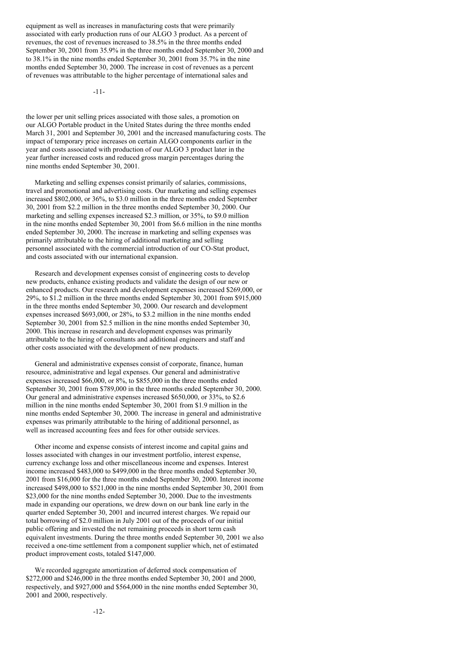equipment as well as increases in manufacturing costs that were primarily associated with early production runs of our ALGO 3 product. As a percent of revenues, the cost of revenues increased to 38.5% in the three months ended September 30, 2001 from 35.9% in the three months ended September 30, 2000 and to 38.1% in the nine months ended September 30, 2001 from 35.7% in the nine months ended September 30, 2000. The increase in cost of revenues as a percent of revenues was attributable to the higher percentage of international sales and

-11-

the lower per unit selling prices associated with those sales, a promotion on our ALGO Portable product in the United States during the three months ended March 31, 2001 and September 30, 2001 and the increased manufacturing costs. The impact of temporary price increases on certain ALGO components earlier in the year and costs associated with production of our ALGO 3 product later in the year further increased costs and reduced gross margin percentages during the nine months ended September 30, 2001.

Marketing and selling expenses consist primarily of salaries, commissions, travel and promotional and advertising costs. Our marketing and selling expenses increased \$802,000, or 36%, to \$3.0 million in the three months ended September 30, 2001 from \$2.2 million in the three months ended September 30, 2000. Our marketing and selling expenses increased \$2.3 million, or 35%, to \$9.0 million in the nine months ended September 30, 2001 from \$6.6 million in the nine months ended September 30, 2000. The increase in marketing and selling expenses was primarily attributable to the hiring of additional marketing and selling personnel associated with the commercial introduction of our CO-Stat product, and costs associated with our international expansion.

Research and development expenses consist of engineering costs to develop new products, enhance existing products and validate the design of our new or enhanced products. Our research and development expenses increased \$269,000, or 29%, to \$1.2 million in the three months ended September 30, 2001 from \$915,000 in the three months ended September 30, 2000. Our research and development expenses increased \$693,000, or 28%, to \$3.2 million in the nine months ended September 30, 2001 from \$2.5 million in the nine months ended September 30, 2000. This increase in research and development expenses was primarily attributable to the hiring of consultants and additional engineers and staff and other costs associated with the development of new products.

General and administrative expenses consist of corporate, finance, human resource, administrative and legal expenses. Our general and administrative expenses increased \$66,000, or 8%, to \$855,000 in the three months ended September 30, 2001 from \$789,000 in the three months ended September 30, 2000. Our general and administrative expenses increased \$650,000, or 33%, to \$2.6 million in the nine months ended September 30, 2001 from \$1.9 million in the nine months ended September 30, 2000. The increase in general and administrative expenses was primarily attributable to the hiring of additional personnel, as well as increased accounting fees and fees for other outside services.

Other income and expense consists of interest income and capital gains and losses associated with changes in our investment portfolio, interest expense, currency exchange loss and other miscellaneous income and expenses. Interest income increased \$483,000 to \$499,000 in the three months ended September 30, 2001 from \$16,000 for the three months ended September 30, 2000. Interest income increased \$498,000 to \$521,000 in the nine months ended September 30, 2001 from \$23,000 for the nine months ended September 30, 2000. Due to the investments made in expanding our operations, we drew down on our bank line early in the quarter ended September 30, 2001 and incurred interest charges. We repaid our total borrowing of \$2.0 million in July 2001 out of the proceeds of our initial public offering and invested the net remaining proceeds in short term cash equivalent investments. During the three months ended September 30, 2001 we also received a one-time settlement from a component supplier which, net of estimated product improvement costs, totaled \$147,000.

We recorded aggregate amortization of deferred stock compensation of \$272,000 and \$246,000 in the three months ended September 30, 2001 and 2000, respectively, and \$927,000 and \$564,000 in the nine months ended September 30, 2001 and 2000, respectively.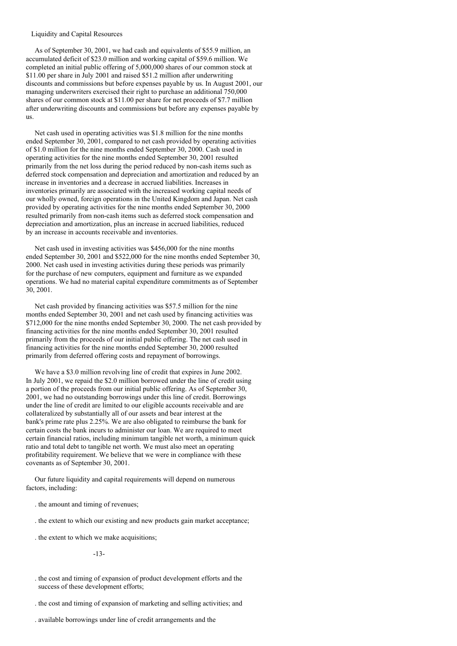#### Liquidity and Capital Resources

As of September 30, 2001, we had cash and equivalents of \$55.9 million, an accumulated deficit of \$23.0 million and working capital of \$59.6 million. We completed an initial public offering of 5,000,000 shares of our common stock at \$11.00 per share in July 2001 and raised \$51.2 million after underwriting discounts and commissions but before expenses payable by us. In August 2001, our managing underwriters exercised their right to purchase an additional 750,000 shares of our common stock at \$11.00 per share for net proceeds of \$7.7 million after underwriting discounts and commissions but before any expenses payable by us.

Net cash used in operating activities was \$1.8 million for the nine months ended September 30, 2001, compared to net cash provided by operating activities of \$1.0 million for the nine months ended September 30, 2000. Cash used in operating activities for the nine months ended September 30, 2001 resulted primarily from the net loss during the period reduced by non-cash items such as deferred stock compensation and depreciation and amortization and reduced by an increase in inventories and a decrease in accrued liabilities. Increases in inventories primarily are associated with the increased working capital needs of our wholly owned, foreign operations in the United Kingdom and Japan. Net cash provided by operating activities for the nine months ended September 30, 2000 resulted primarily from non-cash items such as deferred stock compensation and depreciation and amortization, plus an increase in accrued liabilities, reduced by an increase in accounts receivable and inventories.

Net cash used in investing activities was \$456,000 for the nine months ended September 30, 2001 and \$522,000 for the nine months ended September 30, 2000. Net cash used in investing activities during these periods was primarily for the purchase of new computers, equipment and furniture as we expanded operations. We had no material capital expenditure commitments as of September 30, 2001.

Net cash provided by financing activities was \$57.5 million for the nine months ended September 30, 2001 and net cash used by financing activities was \$712,000 for the nine months ended September 30, 2000. The net cash provided by financing activities for the nine months ended September 30, 2001 resulted primarily from the proceeds of our initial public offering. The net cash used in financing activities for the nine months ended September 30, 2000 resulted primarily from deferred offering costs and repayment of borrowings.

We have a \$3.0 million revolving line of credit that expires in June 2002. In July 2001, we repaid the \$2.0 million borrowed under the line of credit using a portion of the proceeds from our initial public offering. As of September 30, 2001, we had no outstanding borrowings under this line of credit. Borrowings under the line of credit are limited to our eligible accounts receivable and are collateralized by substantially all of our assets and bear interest at the bank's prime rate plus 2.25%. We are also obligated to reimburse the bank for certain costs the bank incurs to administer our loan. We are required to meet certain financial ratios, including minimum tangible net worth, a minimum quick ratio and total debt to tangible net worth. We must also meet an operating profitability requirement. We believe that we were in compliance with these covenants as of September 30, 2001.

Our future liquidity and capital requirements will depend on numerous factors, including:

- . the amount and timing of revenues;
- . the extent to which our existing and new products gain market acceptance;
- . the extent to which we make acquisitions;

-13-

- . the cost and timing of expansion of product development efforts and the success of these development efforts;
- . the cost and timing of expansion of marketing and selling activities; and
- . available borrowings under line of credit arrangements and the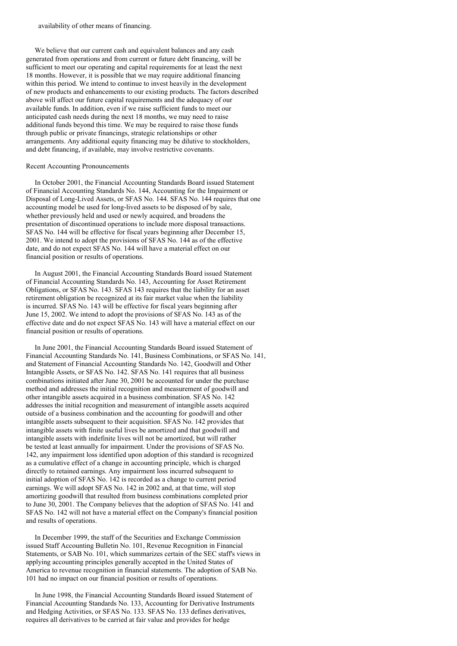availability of other means of financing.

We believe that our current cash and equivalent balances and any cash generated from operations and from current or future debt financing, will be sufficient to meet our operating and capital requirements for at least the next 18 months. However, it is possible that we may require additional financing within this period. We intend to continue to invest heavily in the development of new products and enhancements to our existing products. The factors described above will affect our future capital requirements and the adequacy of our available funds. In addition, even if we raise sufficient funds to meet our anticipated cash needs during the next 18 months, we may need to raise additional funds beyond this time. We may be required to raise those funds through public or private financings, strategic relationships or other arrangements. Any additional equity financing may be dilutive to stockholders, and debt financing, if available, may involve restrictive covenants.

### Recent Accounting Pronouncements

In October 2001, the Financial Accounting Standards Board issued Statement of Financial Accounting Standards No. 144, Accounting for the Impairment or Disposal of Long-Lived Assets, or SFAS No. 144. SFAS No. 144 requires that one accounting model be used for long-lived assets to be disposed of by sale, whether previously held and used or newly acquired, and broadens the presentation of discontinued operations to include more disposal transactions. SFAS No. 144 will be effective for fiscal years beginning after December 15, 2001. We intend to adopt the provisions of SFAS No. 144 as of the effective date, and do not expect SFAS No. 144 will have a material effect on our financial position or results of operations.

In August 2001, the Financial Accounting Standards Board issued Statement of Financial Accounting Standards No. 143, Accounting for Asset Retirement Obligations, or SFAS No. 143. SFAS 143 requires that the liability for an asset retirement obligation be recognized at its fair market value when the liability is incurred. SFAS No. 143 will be effective for fiscal years beginning after June 15, 2002. We intend to adopt the provisions of SFAS No. 143 as of the effective date and do not expect SFAS No. 143 will have a material effect on our financial position or results of operations.

In June 2001, the Financial Accounting Standards Board issued Statement of Financial Accounting Standards No. 141, Business Combinations, or SFAS No. 141, and Statement of Financial Accounting Standards No. 142, Goodwill and Other Intangible Assets, or SFAS No. 142. SFAS No. 141 requires that all business combinations initiated after June 30, 2001 be accounted for under the purchase method and addresses the initial recognition and measurement of goodwill and other intangible assets acquired in a business combination. SFAS No. 142 addresses the initial recognition and measurement of intangible assets acquired outside of a business combination and the accounting for goodwill and other intangible assets subsequent to their acquisition. SFAS No. 142 provides that intangible assets with finite useful lives be amortized and that goodwill and intangible assets with indefinite lives will not be amortized, but will rather be tested at least annually for impairment. Under the provisions of SFAS No. 142, any impairment loss identified upon adoption of this standard is recognized as a cumulative effect of a change in accounting principle, which is charged directly to retained earnings. Any impairment loss incurred subsequent to initial adoption of SFAS No. 142 is recorded as a change to current period earnings. We will adopt SFAS No. 142 in 2002 and, at that time, will stop amortizing goodwill that resulted from business combinations completed prior to June 30, 2001. The Company believes that the adoption of SFAS No. 141 and SFAS No. 142 will not have a material effect on the Company's financial position and results of operations.

In December 1999, the staff of the Securities and Exchange Commission issued Staff Accounting Bulletin No. 101, Revenue Recognition in Financial Statements, or SAB No. 101, which summarizes certain of the SEC staff's views in applying accounting principles generally accepted in the United States of America to revenue recognition in financial statements. The adoption of SAB No. 101 had no impact on our financial position or results of operations.

In June 1998, the Financial Accounting Standards Board issued Statement of Financial Accounting Standards No. 133, Accounting for Derivative Instruments and Hedging Activities, or SFAS No. 133. SFAS No. 133 defines derivatives, requires all derivatives to be carried at fair value and provides for hedge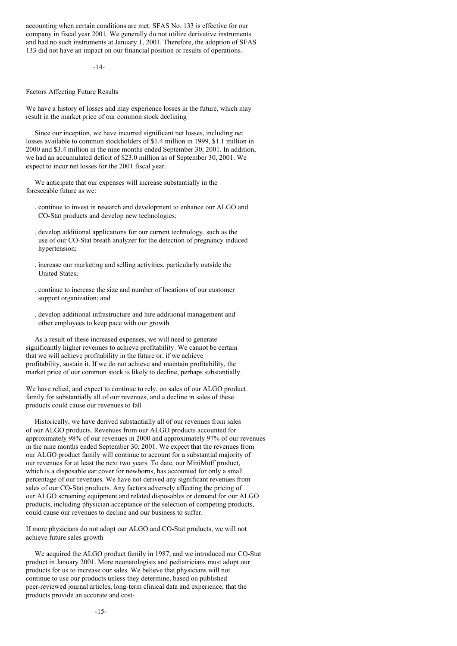accounting when certain conditions are met. SFAS No. 133 is effective for our company in fiscal year 2001. We generally do not utilize derivative instruments and had no such instruments at January 1, 2001. Therefore, the adoption of SFAS 133 did not have an impact on our financial position or results of operations.

## -14-

Factors Affecting Future Results

We have a history of losses and may experience losses in the future, which may result in the market price of our common stock declining

Since our inception, we have incurred significant net losses, including net losses available to common stockholders of \$1.4 million in 1999, \$1.1 million in 2000 and \$3.4 million in the nine months ended September 30, 2001. In addition, we had an accumulated deficit of \$23.0 million as of September 30, 2001. We expect to incur net losses for the 2001 fiscal year.

We anticipate that our expenses will increase substantially in the foreseeable future as we:

- . continue to invest in research and development to enhance our ALGO and CO-Stat products and develop new technologies;
- . develop additional applications for our current technology, such as the use of our CO-Stat breath analyzer for the detection of pregnancy induced hypertension;
- . increase our marketing and selling activities, particularly outside the United States;
- . continue to increase the size and number of locations of our customer support organization; and
- . develop additional infrastructure and hire additional management and other employees to keep pace with our growth.

As a result of these increased expenses, we will need to generate significantly higher revenues to achieve profitability. We cannot be certain that we will achieve profitability in the future or, if we achieve profitability, sustain it. If we do not achieve and maintain profitability, the market price of our common stock is likely to decline, perhaps substantially.

We have relied, and expect to continue to rely, on sales of our ALGO product family for substantially all of our revenues, and a decline in sales of these products could cause our revenues to fall

Historically, we have derived substantially all of our revenues from sales of our ALGO products. Revenues from our ALGO products accounted for approximately 98% of our revenues in 2000 and approximately 97% of our revenues in the nine months ended September 30, 2001. We expect that the revenues from our ALGO product family will continue to account for a substantial majority of our revenues for at least the next two years. To date, our MiniMuff product, which is a disposable ear cover for newborns, has accounted for only a small percentage of our revenues. We have not derived any significant revenues from sales of our CO-Stat products. Any factors adversely affecting the pricing of our ALGO screening equipment and related disposables or demand for our ALGO products, including physician acceptance or the selection of competing products, could cause our revenues to decline and our business to suffer.

If more physicians do not adopt our ALGO and CO-Stat products, we will not achieve future sales growth

We acquired the ALGO product family in 1987, and we introduced our CO-Stat product in January 2001. More neonatologists and pediatricians must adopt our products for us to increase our sales. We believe that physicians will not continue to use our products unless they determine, based on published peer-reviewed journal articles, long-term clinical data and experience, that the products provide an accurate and cost-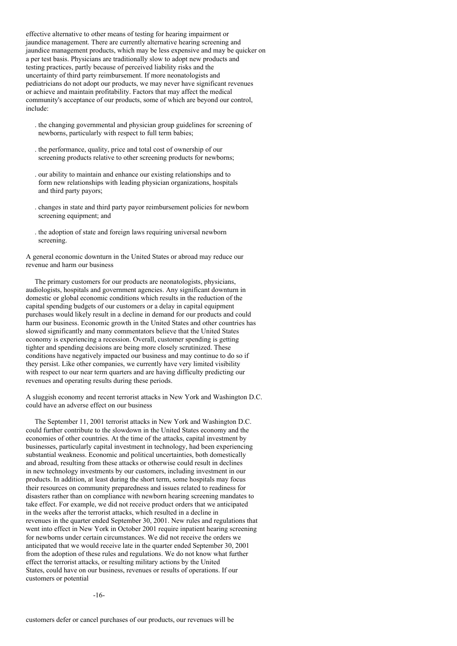effective alternative to other means of testing for hearing impairment or jaundice management. There are currently alternative hearing screening and jaundice management products, which may be less expensive and may be quicker on a per test basis. Physicians are traditionally slow to adopt new products and testing practices, partly because of perceived liability risks and the uncertainty of third party reimbursement. If more neonatologists and pediatricians do not adopt our products, we may never have significant revenues or achieve and maintain profitability. Factors that may affect the medical community's acceptance of our products, some of which are beyond our control, include:

- . the changing governmental and physician group guidelines for screening of newborns, particularly with respect to full term babies;
- . the performance, quality, price and total cost of ownership of our screening products relative to other screening products for newborns;
- . our ability to maintain and enhance our existing relationships and to form new relationships with leading physician organizations, hospitals and third party payors;
- . changes in state and third party payor reimbursement policies for newborn screening equipment; and
- . the adoption of state and foreign laws requiring universal newborn screening.

A general economic downturn in the United States or abroad may reduce our revenue and harm our business

The primary customers for our products are neonatologists, physicians, audiologists, hospitals and government agencies. Any significant downturn in domestic or global economic conditions which results in the reduction of the capital spending budgets of our customers or a delay in capital equipment purchases would likely result in a decline in demand for our products and could harm our business. Economic growth in the United States and other countries has slowed significantly and many commentators believe that the United States economy is experiencing a recession. Overall, customer spending is getting tighter and spending decisions are being more closely scrutinized. These conditions have negatively impacted our business and may continue to do so if they persist. Like other companies, we currently have very limited visibility with respect to our near term quarters and are having difficulty predicting our revenues and operating results during these periods.

A sluggish economy and recent terrorist attacks in New York and Washington D.C. could have an adverse effect on our business

The September 11, 2001 terrorist attacks in New York and Washington D.C. could further contribute to the slowdown in the United States economy and the economies of other countries. At the time of the attacks, capital investment by businesses, particularly capital investment in technology, had been experiencing substantial weakness. Economic and political uncertainties, both domestically and abroad, resulting from these attacks or otherwise could result in declines in new technology investments by our customers, including investment in our products. In addition, at least during the short term, some hospitals may focus their resources on community preparedness and issues related to readiness for disasters rather than on compliance with newborn hearing screening mandates to take effect. For example, we did not receive product orders that we anticipated in the weeks after the terrorist attacks, which resulted in a decline in revenues in the quarter ended September 30, 2001. New rules and regulations that went into effect in New York in October 2001 require inpatient hearing screening for newborns under certain circumstances. We did not receive the orders we anticipated that we would receive late in the quarter ended September 30, 2001 from the adoption of these rules and regulations. We do not know what further effect the terrorist attacks, or resulting military actions by the United States, could have on our business, revenues or results of operations. If our customers or potential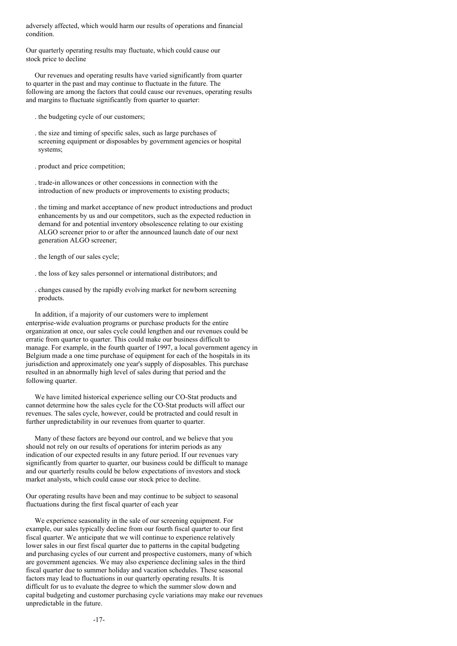adversely affected, which would harm our results of operations and financial condition.

Our quarterly operating results may fluctuate, which could cause our stock price to decline

Our revenues and operating results have varied significantly from quarter to quarter in the past and may continue to fluctuate in the future. The following are among the factors that could cause our revenues, operating results and margins to fluctuate significantly from quarter to quarter:

- . the budgeting cycle of our customers;
- . the size and timing of specific sales, such as large purchases of screening equipment or disposables by government agencies or hospital systems;
- . product and price competition;
- . trade-in allowances or other concessions in connection with the introduction of new products or improvements to existing products;
- . the timing and market acceptance of new product introductions and product enhancements by us and our competitors, such as the expected reduction in demand for and potential inventory obsolescence relating to our existing ALGO screener prior to or after the announced launch date of our next generation ALGO screener;
- . the length of our sales cycle;
- . the loss of key sales personnel or international distributors; and
- . changes caused by the rapidly evolving market for newborn screening products.

In addition, if a majority of our customers were to implement enterprise-wide evaluation programs or purchase products for the entire organization at once, our sales cycle could lengthen and our revenues could be erratic from quarter to quarter. This could make our business difficult to manage. For example, in the fourth quarter of 1997, a local government agency in Belgium made a one time purchase of equipment for each of the hospitals in its jurisdiction and approximately one year's supply of disposables. This purchase resulted in an abnormally high level of sales during that period and the following quarter.

We have limited historical experience selling our CO-Stat products and cannot determine how the sales cycle for the CO-Stat products will affect our revenues. The sales cycle, however, could be protracted and could result in further unpredictability in our revenues from quarter to quarter.

Many of these factors are beyond our control, and we believe that you should not rely on our results of operations for interim periods as any indication of our expected results in any future period. If our revenues vary significantly from quarter to quarter, our business could be difficult to manage and our quarterly results could be below expectations of investors and stock market analysts, which could cause our stock price to decline.

Our operating results have been and may continue to be subject to seasonal fluctuations during the first fiscal quarter of each year

We experience seasonality in the sale of our screening equipment. For example, our sales typically decline from our fourth fiscal quarter to our first fiscal quarter. We anticipate that we will continue to experience relatively lower sales in our first fiscal quarter due to patterns in the capital budgeting and purchasing cycles of our current and prospective customers, many of which are government agencies. We may also experience declining sales in the third fiscal quarter due to summer holiday and vacation schedules. These seasonal factors may lead to fluctuations in our quarterly operating results. It is difficult for us to evaluate the degree to which the summer slow down and capital budgeting and customer purchasing cycle variations may make our revenues unpredictable in the future.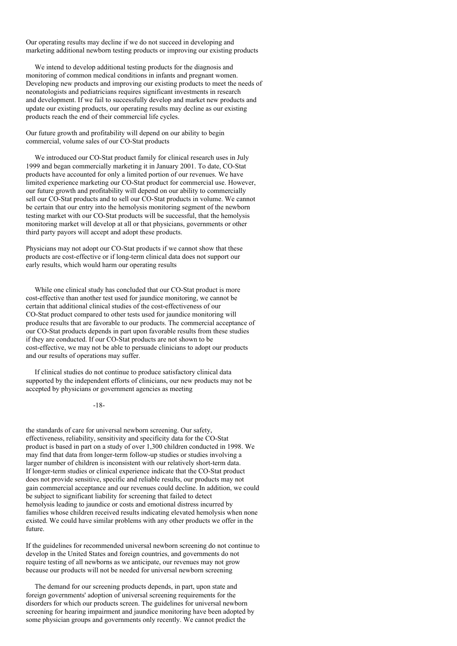Our operating results may decline if we do not succeed in developing and marketing additional newborn testing products or improving our existing products

We intend to develop additional testing products for the diagnosis and monitoring of common medical conditions in infants and pregnant women. Developing new products and improving our existing products to meet the needs of neonatologists and pediatricians requires significant investments in research and development. If we fail to successfully develop and market new products and update our existing products, our operating results may decline as our existing products reach the end of their commercial life cycles.

Our future growth and profitability will depend on our ability to begin commercial, volume sales of our CO-Stat products

We introduced our CO-Stat product family for clinical research uses in July 1999 and began commercially marketing it in January 2001. To date, CO-Stat products have accounted for only a limited portion of our revenues. We have limited experience marketing our CO-Stat product for commercial use. However, our future growth and profitability will depend on our ability to commercially sell our CO-Stat products and to sell our CO-Stat products in volume. We cannot be certain that our entry into the hemolysis monitoring segment of the newborn testing market with our CO-Stat products will be successful, that the hemolysis monitoring market will develop at all or that physicians, governments or other third party payors will accept and adopt these products.

Physicians may not adopt our CO-Stat products if we cannot show that these products are cost-effective or if long-term clinical data does not support our early results, which would harm our operating results

While one clinical study has concluded that our CO-Stat product is more cost-effective than another test used for jaundice monitoring, we cannot be certain that additional clinical studies of the cost-effectiveness of our CO-Stat product compared to other tests used for jaundice monitoring will produce results that are favorable to our products. The commercial acceptance of our CO-Stat products depends in part upon favorable results from these studies if they are conducted. If our CO-Stat products are not shown to be cost-effective, we may not be able to persuade clinicians to adopt our products and our results of operations may suffer.

If clinical studies do not continue to produce satisfactory clinical data supported by the independent efforts of clinicians, our new products may not be accepted by physicians or government agencies as meeting

-18-

the standards of care for universal newborn screening. Our safety, effectiveness, reliability, sensitivity and specificity data for the CO-Stat product is based in part on a study of over 1,300 children conducted in 1998. We may find that data from longer-term follow-up studies or studies involving a larger number of children is inconsistent with our relatively short-term data. If longer-term studies or clinical experience indicate that the CO-Stat product does not provide sensitive, specific and reliable results, our products may not gain commercial acceptance and our revenues could decline. In addition, we could be subject to significant liability for screening that failed to detect hemolysis leading to jaundice or costs and emotional distress incurred by families whose children received results indicating elevated hemolysis when none existed. We could have similar problems with any other products we offer in the future.

If the guidelines for recommended universal newborn screening do not continue to develop in the United States and foreign countries, and governments do not require testing of all newborns as we anticipate, our revenues may not grow because our products will not be needed for universal newborn screening

The demand for our screening products depends, in part, upon state and foreign governments' adoption of universal screening requirements for the disorders for which our products screen. The guidelines for universal newborn screening for hearing impairment and jaundice monitoring have been adopted by some physician groups and governments only recently. We cannot predict the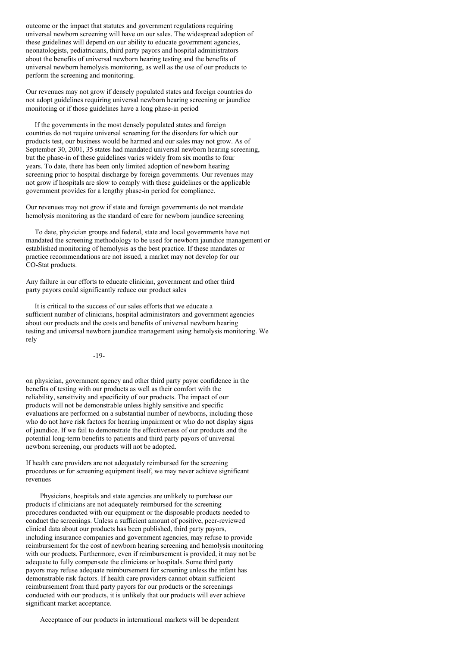outcome or the impact that statutes and government regulations requiring universal newborn screening will have on our sales. The widespread adoption of these guidelines will depend on our ability to educate government agencies, neonatologists, pediatricians, third party payors and hospital administrators about the benefits of universal newborn hearing testing and the benefits of universal newborn hemolysis monitoring, as well as the use of our products to perform the screening and monitoring.

Our revenues may not grow if densely populated states and foreign countries do not adopt guidelines requiring universal newborn hearing screening or jaundice monitoring or if those guidelines have a long phase-in period

If the governments in the most densely populated states and foreign countries do not require universal screening for the disorders for which our products test, our business would be harmed and our sales may not grow. As of September 30, 2001, 35 states had mandated universal newborn hearing screening, but the phase-in of these guidelines varies widely from six months to four years. To date, there has been only limited adoption of newborn hearing screening prior to hospital discharge by foreign governments. Our revenues may not grow if hospitals are slow to comply with these guidelines or the applicable government provides for a lengthy phase-in period for compliance.

Our revenues may not grow if state and foreign governments do not mandate hemolysis monitoring as the standard of care for newborn jaundice screening

To date, physician groups and federal, state and local governments have not mandated the screening methodology to be used for newborn jaundice management or established monitoring of hemolysis as the best practice. If these mandates or practice recommendations are not issued, a market may not develop for our CO-Stat products.

Any failure in our efforts to educate clinician, government and other third party payors could significantly reduce our product sales

It is critical to the success of our sales efforts that we educate a sufficient number of clinicians, hospital administrators and government agencies about our products and the costs and benefits of universal newborn hearing testing and universal newborn jaundice management using hemolysis monitoring. We rely

-19-

on physician, government agency and other third party payor confidence in the benefits of testing with our products as well as their comfort with the reliability, sensitivity and specificity of our products. The impact of our products will not be demonstrable unless highly sensitive and specific evaluations are performed on a substantial number of newborns, including those who do not have risk factors for hearing impairment or who do not display signs of jaundice. If we fail to demonstrate the effectiveness of our products and the potential long-term benefits to patients and third party payors of universal newborn screening, our products will not be adopted.

If health care providers are not adequately reimbursed for the screening procedures or for screening equipment itself, we may never achieve significant revenues

Physicians, hospitals and state agencies are unlikely to purchase our products if clinicians are not adequately reimbursed for the screening procedures conducted with our equipment or the disposable products needed to conduct the screenings. Unless a sufficient amount of positive, peer-reviewed clinical data about our products has been published, third party payors, including insurance companies and government agencies, may refuse to provide reimbursement for the cost of newborn hearing screening and hemolysis monitoring with our products. Furthermore, even if reimbursement is provided, it may not be adequate to fully compensate the clinicians or hospitals. Some third party payors may refuse adequate reimbursement for screening unless the infant has demonstrable risk factors. If health care providers cannot obtain sufficient reimbursement from third party payors for our products or the screenings conducted with our products, it is unlikely that our products will ever achieve significant market acceptance.

Acceptance of our products in international markets will be dependent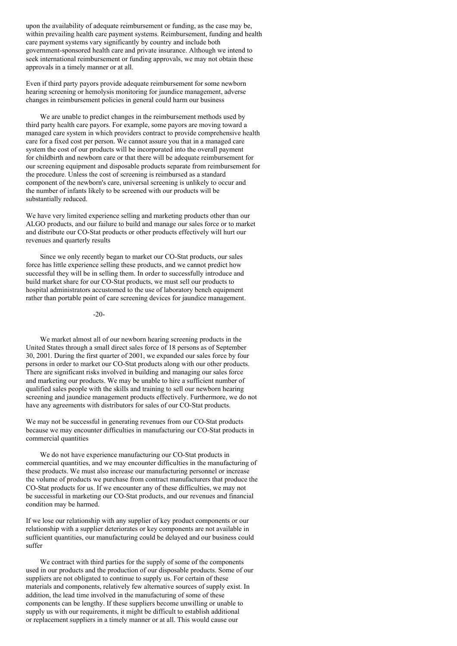upon the availability of adequate reimbursement or funding, as the case may be, within prevailing health care payment systems. Reimbursement, funding and health care payment systems vary significantly by country and include both government-sponsored health care and private insurance. Although we intend to seek international reimbursement or funding approvals, we may not obtain these approvals in a timely manner or at all.

Even if third party payors provide adequate reimbursement for some newborn hearing screening or hemolysis monitoring for jaundice management, adverse changes in reimbursement policies in general could harm our business

We are unable to predict changes in the reimbursement methods used by third party health care payors. For example, some payors are moving toward a managed care system in which providers contract to provide comprehensive health care for a fixed cost per person. We cannot assure you that in a managed care system the cost of our products will be incorporated into the overall payment for childbirth and newborn care or that there will be adequate reimbursement for our screening equipment and disposable products separate from reimbursement for the procedure. Unless the cost of screening is reimbursed as a standard component of the newborn's care, universal screening is unlikely to occur and the number of infants likely to be screened with our products will be substantially reduced.

We have very limited experience selling and marketing products other than our ALGO products, and our failure to build and manage our sales force or to market and distribute our CO-Stat products or other products effectively will hurt our revenues and quarterly results

Since we only recently began to market our CO-Stat products, our sales force has little experience selling these products, and we cannot predict how successful they will be in selling them. In order to successfully introduce and build market share for our CO-Stat products, we must sell our products to hospital administrators accustomed to the use of laboratory bench equipment rather than portable point of care screening devices for jaundice management.

-20-

We market almost all of our newborn hearing screening products in the United States through a small direct sales force of 18 persons as of September 30, 2001. During the first quarter of 2001, we expanded our sales force by four persons in order to market our CO-Stat products along with our other products. There are significant risks involved in building and managing our sales force and marketing our products. We may be unable to hire a sufficient number of qualified sales people with the skills and training to sell our newborn hearing screening and jaundice management products effectively. Furthermore, we do not have any agreements with distributors for sales of our CO-Stat products.

We may not be successful in generating revenues from our CO-Stat products because we may encounter difficulties in manufacturing our CO-Stat products in commercial quantities

We do not have experience manufacturing our CO-Stat products in commercial quantities, and we may encounter difficulties in the manufacturing of these products. We must also increase our manufacturing personnel or increase the volume of products we purchase from contract manufacturers that produce the CO-Stat products for us. If we encounter any of these difficulties, we may not be successful in marketing our CO-Stat products, and our revenues and financial condition may be harmed.

If we lose our relationship with any supplier of key product components or our relationship with a supplier deteriorates or key components are not available in sufficient quantities, our manufacturing could be delayed and our business could suffer

We contract with third parties for the supply of some of the components used in our products and the production of our disposable products. Some of our suppliers are not obligated to continue to supply us. For certain of these materials and components, relatively few alternative sources of supply exist. In addition, the lead time involved in the manufacturing of some of these components can be lengthy. If these suppliers become unwilling or unable to supply us with our requirements, it might be difficult to establish additional or replacement suppliers in a timely manner or at all. This would cause our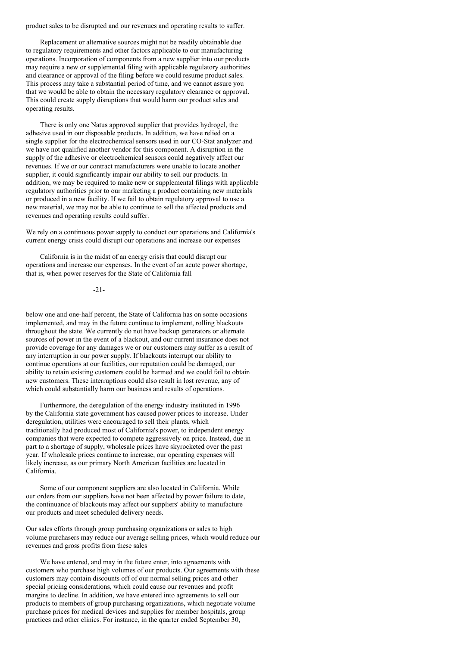product sales to be disrupted and our revenues and operating results to suffer.

Replacement or alternative sources might not be readily obtainable due to regulatory requirements and other factors applicable to our manufacturing operations. Incorporation of components from a new supplier into our products may require a new or supplemental filing with applicable regulatory authorities and clearance or approval of the filing before we could resume product sales. This process may take a substantial period of time, and we cannot assure you that we would be able to obtain the necessary regulatory clearance or approval. This could create supply disruptions that would harm our product sales and operating results.

There is only one Natus approved supplier that provides hydrogel, the adhesive used in our disposable products. In addition, we have relied on a single supplier for the electrochemical sensors used in our CO-Stat analyzer and we have not qualified another vendor for this component. A disruption in the supply of the adhesive or electrochemical sensors could negatively affect our revenues. If we or our contract manufacturers were unable to locate another supplier, it could significantly impair our ability to sell our products. In addition, we may be required to make new or supplemental filings with applicable regulatory authorities prior to our marketing a product containing new materials or produced in a new facility. If we fail to obtain regulatory approval to use a new material, we may not be able to continue to sell the affected products and revenues and operating results could suffer.

We rely on a continuous power supply to conduct our operations and California's current energy crisis could disrupt our operations and increase our expenses

California is in the midst of an energy crisis that could disrupt our operations and increase our expenses. In the event of an acute power shortage, that is, when power reserves for the State of California fall

### -21-

below one and one-half percent, the State of California has on some occasions implemented, and may in the future continue to implement, rolling blackouts throughout the state. We currently do not have backup generators or alternate sources of power in the event of a blackout, and our current insurance does not provide coverage for any damages we or our customers may suffer as a result of any interruption in our power supply. If blackouts interrupt our ability to continue operations at our facilities, our reputation could be damaged, our ability to retain existing customers could be harmed and we could fail to obtain new customers. These interruptions could also result in lost revenue, any of which could substantially harm our business and results of operations.

Furthermore, the deregulation of the energy industry instituted in 1996 by the California state government has caused power prices to increase. Under deregulation, utilities were encouraged to sell their plants, which traditionally had produced most of California's power, to independent energy companies that were expected to compete aggressively on price. Instead, due in part to a shortage of supply, wholesale prices have skyrocketed over the past year. If wholesale prices continue to increase, our operating expenses will likely increase, as our primary North American facilities are located in California.

Some of our component suppliers are also located in California. While our orders from our suppliers have not been affected by power failure to date, the continuance of blackouts may affect our suppliers' ability to manufacture our products and meet scheduled delivery needs.

Our sales efforts through group purchasing organizations or sales to high volume purchasers may reduce our average selling prices, which would reduce our revenues and gross profits from these sales

We have entered, and may in the future enter, into agreements with customers who purchase high volumes of our products. Our agreements with these customers may contain discounts off of our normal selling prices and other special pricing considerations, which could cause our revenues and profit margins to decline. In addition, we have entered into agreements to sell our products to members of group purchasing organizations, which negotiate volume purchase prices for medical devices and supplies for member hospitals, group practices and other clinics. For instance, in the quarter ended September 30,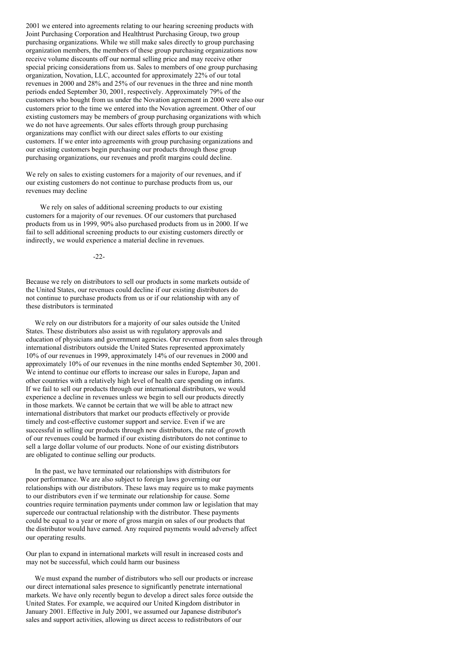2001 we entered into agreements relating to our hearing screening products with Joint Purchasing Corporation and Healthtrust Purchasing Group, two group purchasing organizations. While we still make sales directly to group purchasing organization members, the members of these group purchasing organizations now receive volume discounts off our normal selling price and may receive other special pricing considerations from us. Sales to members of one group purchasing organization, Novation, LLC, accounted for approximately 22% of our total revenues in 2000 and 28% and 25% of our revenues in the three and nine month periods ended September 30, 2001, respectively. Approximately 79% of the customers who bought from us under the Novation agreement in 2000 were also our customers prior to the time we entered into the Novation agreement. Other of our existing customers may be members of group purchasing organizations with which we do not have agreements. Our sales efforts through group purchasing organizations may conflict with our direct sales efforts to our existing customers. If we enter into agreements with group purchasing organizations and our existing customers begin purchasing our products through those group purchasing organizations, our revenues and profit margins could decline.

We rely on sales to existing customers for a majority of our revenues, and if our existing customers do not continue to purchase products from us, our revenues may decline

We rely on sales of additional screening products to our existing customers for a majority of our revenues. Of our customers that purchased products from us in 1999, 90% also purchased products from us in 2000. If we fail to sell additional screening products to our existing customers directly or indirectly, we would experience a material decline in revenues.

-22-

Because we rely on distributors to sell our products in some markets outside of the United States, our revenues could decline if our existing distributors do not continue to purchase products from us or if our relationship with any of these distributors is terminated

We rely on our distributors for a majority of our sales outside the United States. These distributors also assist us with regulatory approvals and education of physicians and government agencies. Our revenues from sales through international distributors outside the United States represented approximately 10% of our revenues in 1999, approximately 14% of our revenues in 2000 and approximately 10% of our revenues in the nine months ended September 30, 2001. We intend to continue our efforts to increase our sales in Europe, Japan and other countries with a relatively high level of health care spending on infants. If we fail to sell our products through our international distributors, we would experience a decline in revenues unless we begin to sell our products directly in those markets. We cannot be certain that we will be able to attract new international distributors that market our products effectively or provide timely and cost-effective customer support and service. Even if we are successful in selling our products through new distributors, the rate of growth of our revenues could be harmed if our existing distributors do not continue to sell a large dollar volume of our products. None of our existing distributors are obligated to continue selling our products.

In the past, we have terminated our relationships with distributors for poor performance. We are also subject to foreign laws governing our relationships with our distributors. These laws may require us to make payments to our distributors even if we terminate our relationship for cause. Some countries require termination payments under common law or legislation that may supercede our contractual relationship with the distributor. These payments could be equal to a year or more of gross margin on sales of our products that the distributor would have earned. Any required payments would adversely affect our operating results.

Our plan to expand in international markets will result in increased costs and may not be successful, which could harm our business

We must expand the number of distributors who sell our products or increase our direct international sales presence to significantly penetrate international markets. We have only recently begun to develop a direct sales force outside the United States. For example, we acquired our United Kingdom distributor in January 2001. Effective in July 2001, we assumed our Japanese distributor's sales and support activities, allowing us direct access to redistributors of our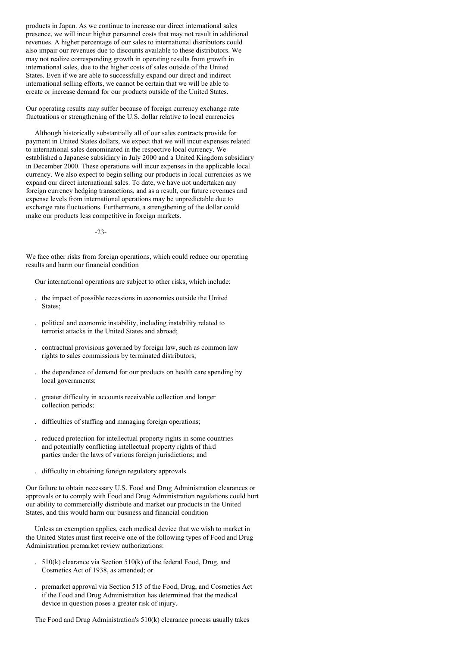products in Japan. As we continue to increase our direct international sales presence, we will incur higher personnel costs that may not result in additional revenues. A higher percentage of our sales to international distributors could also impair our revenues due to discounts available to these distributors. We may not realize corresponding growth in operating results from growth in international sales, due to the higher costs of sales outside of the United States. Even if we are able to successfully expand our direct and indirect international selling efforts, we cannot be certain that we will be able to create or increase demand for our products outside of the United States.

Our operating results may suffer because of foreign currency exchange rate fluctuations or strengthening of the U.S. dollar relative to local currencies

Although historically substantially all of our sales contracts provide for payment in United States dollars, we expect that we will incur expenses related to international sales denominated in the respective local currency. We established a Japanese subsidiary in July 2000 and a United Kingdom subsidiary in December 2000. These operations will incur expenses in the applicable local currency. We also expect to begin selling our products in local currencies as we expand our direct international sales. To date, we have not undertaken any foreign currency hedging transactions, and as a result, our future revenues and expense levels from international operations may be unpredictable due to exchange rate fluctuations. Furthermore, a strengthening of the dollar could make our products less competitive in foreign markets.

-23-

We face other risks from foreign operations, which could reduce our operating results and harm our financial condition

Our international operations are subject to other risks, which include:

- . the impact of possible recessions in economies outside the United States;
- . political and economic instability, including instability related to terrorist attacks in the United States and abroad;
- . contractual provisions governed by foreign law, such as common law rights to sales commissions by terminated distributors;
- . the dependence of demand for our products on health care spending by local governments;
- . greater difficulty in accounts receivable collection and longer collection periods;
- . difficulties of staffing and managing foreign operations;
- . reduced protection for intellectual property rights in some countries and potentially conflicting intellectual property rights of third parties under the laws of various foreign jurisdictions; and
- . difficulty in obtaining foreign regulatory approvals.

Our failure to obtain necessary U.S. Food and Drug Administration clearances or approvals or to comply with Food and Drug Administration regulations could hurt our ability to commercially distribute and market our products in the United States, and this would harm our business and financial condition

Unless an exemption applies, each medical device that we wish to market in the United States must first receive one of the following types of Food and Drug Administration premarket review authorizations:

- . 510(k) clearance via Section 510(k) of the federal Food, Drug, and Cosmetics Act of 1938, as amended; or
- . premarket approval via Section 515 of the Food, Drug, and Cosmetics Act if the Food and Drug Administration has determined that the medical device in question poses a greater risk of injury.

The Food and Drug Administration's 510(k) clearance process usually takes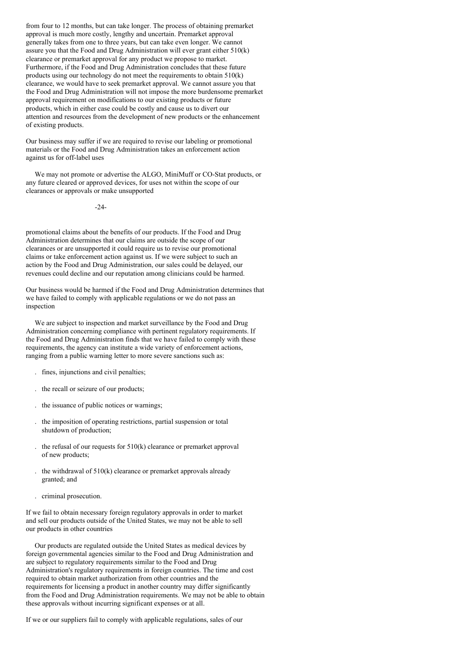from four to 12 months, but can take longer. The process of obtaining premarket approval is much more costly, lengthy and uncertain. Premarket approval generally takes from one to three years, but can take even longer. We cannot assure you that the Food and Drug Administration will ever grant either 510(k) clearance or premarket approval for any product we propose to market. Furthermore, if the Food and Drug Administration concludes that these future products using our technology do not meet the requirements to obtain 510(k) clearance, we would have to seek premarket approval. We cannot assure you that the Food and Drug Administration will not impose the more burdensome premarket approval requirement on modifications to our existing products or future products, which in either case could be costly and cause us to divert our attention and resources from the development of new products or the enhancement of existing products.

Our business may suffer if we are required to revise our labeling or promotional materials or the Food and Drug Administration takes an enforcement action against us for off-label uses

We may not promote or advertise the ALGO, MiniMuff or CO-Stat products, or any future cleared or approved devices, for uses not within the scope of our clearances or approvals or make unsupported

 $-24-$ 

promotional claims about the benefits of our products. If the Food and Drug Administration determines that our claims are outside the scope of our clearances or are unsupported it could require us to revise our promotional claims or take enforcement action against us. If we were subject to such an action by the Food and Drug Administration, our sales could be delayed, our revenues could decline and our reputation among clinicians could be harmed.

Our business would be harmed if the Food and Drug Administration determines that we have failed to comply with applicable regulations or we do not pass an inspection

We are subject to inspection and market surveillance by the Food and Drug Administration concerning compliance with pertinent regulatory requirements. If the Food and Drug Administration finds that we have failed to comply with these requirements, the agency can institute a wide variety of enforcement actions, ranging from a public warning letter to more severe sanctions such as:

- . fines, injunctions and civil penalties;
- . the recall or seizure of our products;
- . the issuance of public notices or warnings;
- . the imposition of operating restrictions, partial suspension or total shutdown of production;
- the refusal of our requests for  $510(k)$  clearance or premarket approval of new products;
- . the withdrawal of 510(k) clearance or premarket approvals already granted; and
- . criminal prosecution.

If we fail to obtain necessary foreign regulatory approvals in order to market and sell our products outside of the United States, we may not be able to sell our products in other countries

Our products are regulated outside the United States as medical devices by foreign governmental agencies similar to the Food and Drug Administration and are subject to regulatory requirements similar to the Food and Drug Administration's regulatory requirements in foreign countries. The time and cost required to obtain market authorization from other countries and the requirements for licensing a product in another country may differ significantly from the Food and Drug Administration requirements. We may not be able to obtain these approvals without incurring significant expenses or at all.

If we or our suppliers fail to comply with applicable regulations, sales of our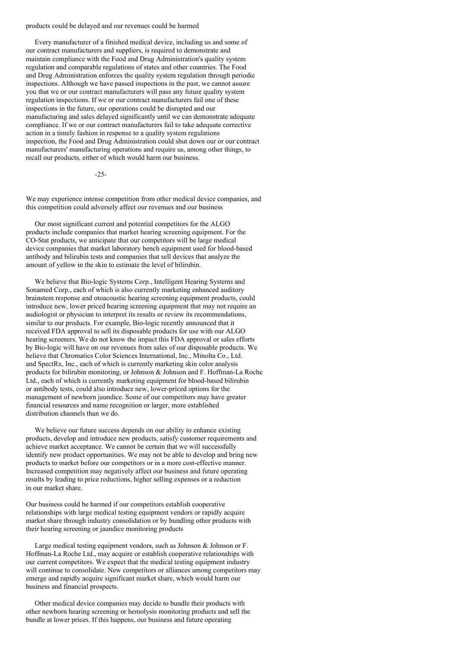products could be delayed and our revenues could be harmed

Every manufacturer of a finished medical device, including us and some of our contract manufacturers and suppliers, is required to demonstrate and maintain compliance with the Food and Drug Administration's quality system regulation and comparable regulations of states and other countries. The Food and Drug Administration enforces the quality system regulation through periodic inspections. Although we have passed inspections in the past, we cannot assure you that we or our contract manufacturers will pass any future quality system regulation inspections. If we or our contract manufacturers fail one of these inspections in the future, our operations could be disrupted and our manufacturing and sales delayed significantly until we can demonstrate adequate compliance. If we or our contract manufacturers fail to take adequate corrective action in a timely fashion in response to a quality system regulations inspection, the Food and Drug Administration could shut down our or our contract manufacturers' manufacturing operations and require us, among other things, to recall our products, either of which would harm our business.

-25-

We may experience intense competition from other medical device companies, and this competition could adversely affect our revenues and our business

Our most significant current and potential competitors for the ALGO products include companies that market hearing screening equipment. For the CO-Stat products, we anticipate that our competitors will be large medical device companies that market laboratory bench equipment used for blood-based antibody and bilirubin tests and companies that sell devices that analyze the amount of yellow in the skin to estimate the level of bilirubin.

We believe that Bio-logic Systems Corp., Intelligent Hearing Systems and Sonamed Corp., each of which is also currently marketing enhanced auditory brainstem response and otoacoustic hearing screening equipment products, could introduce new, lower priced hearing screening equipment that may not require an audiologist or physician to interpret its results or review its recommendations, similar to our products. For example, Bio-logic recently announced that it received FDA approval to sell its disposable products for use with our ALGO hearing screeners. We do not know the impact this FDA approval or sales efforts by Bio-logic will have on our revenues from sales of our disposable products. We believe that Chromatics Color Sciences International, Inc., Minolta Co., Ltd. and SpectRx, Inc., each of which is currently marketing skin color analysis products for bilirubin monitoring, or Johnson & Johnson and F. Hoffman-La Roche Ltd., each of which is currently marketing equipment for blood-based bilirubin or antibody tests, could also introduce new, lower-priced options for the management of newborn jaundice. Some of our competitors may have greater financial resources and name recognition or larger, more established distribution channels than we do.

We believe our future success depends on our ability to enhance existing products, develop and introduce new products, satisfy customer requirements and achieve market acceptance. We cannot be certain that we will successfully identify new product opportunities. We may not be able to develop and bring new products to market before our competitors or in a more cost-effective manner. Increased competition may negatively affect our business and future operating results by leading to price reductions, higher selling expenses or a reduction in our market share.

Our business could be harmed if our competitors establish cooperative relationships with large medical testing equipment vendors or rapidly acquire market share through industry consolidation or by bundling other products with their hearing screening or jaundice monitoring products

Large medical testing equipment vendors, such as Johnson & Johnson or F. Hoffman-La Roche Ltd., may acquire or establish cooperative relationships with our current competitors. We expect that the medical testing equipment industry will continue to consolidate. New competitors or alliances among competitors may emerge and rapidly acquire significant market share, which would harm our business and financial prospects.

Other medical device companies may decide to bundle their products with other newborn hearing screening or hemolysis monitoring products and sell the bundle at lower prices. If this happens, our business and future operating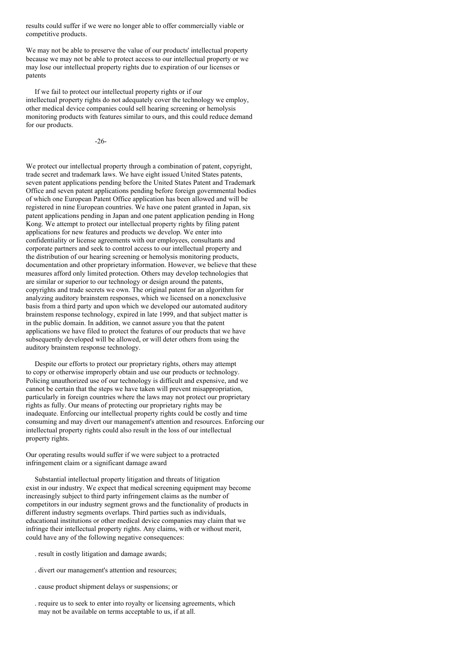results could suffer if we were no longer able to offer commercially viable or competitive products.

We may not be able to preserve the value of our products' intellectual property because we may not be able to protect access to our intellectual property or we may lose our intellectual property rights due to expiration of our licenses or patents

If we fail to protect our intellectual property rights or if our intellectual property rights do not adequately cover the technology we employ, other medical device companies could sell hearing screening or hemolysis monitoring products with features similar to ours, and this could reduce demand for our products.

-26-

We protect our intellectual property through a combination of patent, copyright, trade secret and trademark laws. We have eight issued United States patents, seven patent applications pending before the United States Patent and Trademark Office and seven patent applications pending before foreign governmental bodies of which one European Patent Office application has been allowed and will be registered in nine European countries. We have one patent granted in Japan, six patent applications pending in Japan and one patent application pending in Hong Kong. We attempt to protect our intellectual property rights by filing patent applications for new features and products we develop. We enter into confidentiality or license agreements with our employees, consultants and corporate partners and seek to control access to our intellectual property and the distribution of our hearing screening or hemolysis monitoring products, documentation and other proprietary information. However, we believe that these measures afford only limited protection. Others may develop technologies that are similar or superior to our technology or design around the patents, copyrights and trade secrets we own. The original patent for an algorithm for analyzing auditory brainstem responses, which we licensed on a nonexclusive basis from a third party and upon which we developed our automated auditory brainstem response technology, expired in late 1999, and that subject matter is in the public domain. In addition, we cannot assure you that the patent applications we have filed to protect the features of our products that we have subsequently developed will be allowed, or will deter others from using the auditory brainstem response technology.

Despite our efforts to protect our proprietary rights, others may attempt to copy or otherwise improperly obtain and use our products or technology. Policing unauthorized use of our technology is difficult and expensive, and we cannot be certain that the steps we have taken will prevent misappropriation, particularly in foreign countries where the laws may not protect our proprietary rights as fully. Our means of protecting our proprietary rights may be inadequate. Enforcing our intellectual property rights could be costly and time consuming and may divert our management's attention and resources. Enforcing our intellectual property rights could also result in the loss of our intellectual property rights.

Our operating results would suffer if we were subject to a protracted infringement claim or a significant damage award

Substantial intellectual property litigation and threats of litigation exist in our industry. We expect that medical screening equipment may become increasingly subject to third party infringement claims as the number of competitors in our industry segment grows and the functionality of products in different industry segments overlaps. Third parties such as individuals, educational institutions or other medical device companies may claim that we infringe their intellectual property rights. Any claims, with or without merit, could have any of the following negative consequences:

- . result in costly litigation and damage awards;
- . divert our management's attention and resources;
- . cause product shipment delays or suspensions; or
- . require us to seek to enter into royalty or licensing agreements, which may not be available on terms acceptable to us, if at all.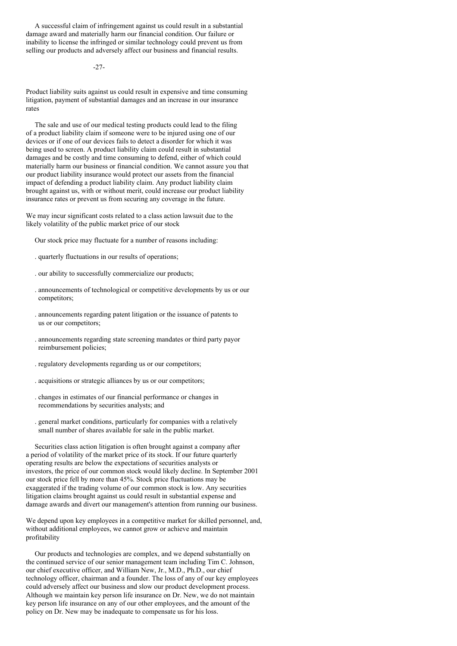A successful claim of infringement against us could result in a substantial damage award and materially harm our financial condition. Our failure or inability to license the infringed or similar technology could prevent us from selling our products and adversely affect our business and financial results.

-27-

Product liability suits against us could result in expensive and time consuming litigation, payment of substantial damages and an increase in our insurance rates

The sale and use of our medical testing products could lead to the filing of a product liability claim if someone were to be injured using one of our devices or if one of our devices fails to detect a disorder for which it was being used to screen. A product liability claim could result in substantial damages and be costly and time consuming to defend, either of which could materially harm our business or financial condition. We cannot assure you that our product liability insurance would protect our assets from the financial impact of defending a product liability claim. Any product liability claim brought against us, with or without merit, could increase our product liability insurance rates or prevent us from securing any coverage in the future.

We may incur significant costs related to a class action lawsuit due to the likely volatility of the public market price of our stock

Our stock price may fluctuate for a number of reasons including:

- . quarterly fluctuations in our results of operations;
- . our ability to successfully commercialize our products;
- . announcements of technological or competitive developments by us or our competitors;
- . announcements regarding patent litigation or the issuance of patents to us or our competitors;
- . announcements regarding state screening mandates or third party payor reimbursement policies;
- . regulatory developments regarding us or our competitors;
- . acquisitions or strategic alliances by us or our competitors;
- . changes in estimates of our financial performance or changes in recommendations by securities analysts; and
- . general market conditions, particularly for companies with a relatively small number of shares available for sale in the public market.

Securities class action litigation is often brought against a company after a period of volatility of the market price of its stock. If our future quarterly operating results are below the expectations of securities analysts or investors, the price of our common stock would likely decline. In September 2001 our stock price fell by more than 45%. Stock price fluctuations may be exaggerated if the trading volume of our common stock is low. Any securities litigation claims brought against us could result in substantial expense and damage awards and divert our management's attention from running our business.

We depend upon key employees in a competitive market for skilled personnel, and, without additional employees, we cannot grow or achieve and maintain profitability

Our products and technologies are complex, and we depend substantially on the continued service of our senior management team including Tim C. Johnson, our chief executive officer, and William New, Jr., M.D., Ph.D., our chief technology officer, chairman and a founder. The loss of any of our key employees could adversely affect our business and slow our product development process. Although we maintain key person life insurance on Dr. New, we do not maintain key person life insurance on any of our other employees, and the amount of the policy on Dr. New may be inadequate to compensate us for his loss.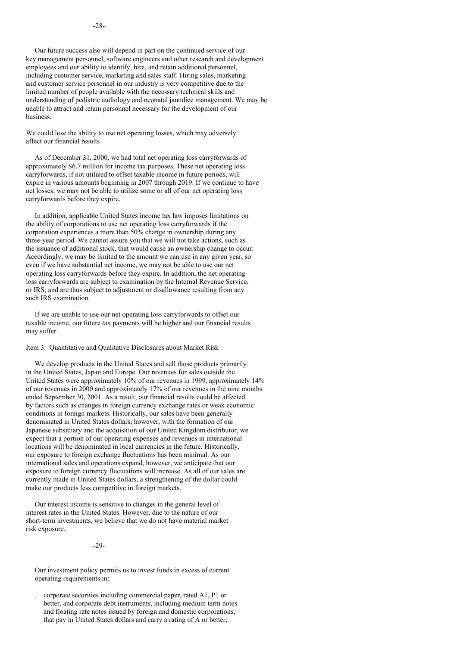We could lose the ability to use net operating losses, which may adversely affect our financial results

As of December 31, 2000, we had total net operating loss carryforwards of approximately \$6.7 million for income tax purposes. These net operating loss carryforwards, if not utilized to offset taxable income in future periods, will expire in various amounts beginning in 2007 through 2019. If we continue to have net losses, we may not be able to utilize some or all of our net operating loss carryforwards before they expire.

In addition, applicable United States income tax law imposes limitations on the ability of corporations to use net operating loss carryforwards if the corporation experiences a more than 50% change in ownership during any three-year period. We cannot assure you that we will not take actions, such as the issuance of additional stock, that would cause an ownership change to occur. Accordingly, we may be limited to the amount we can use in any given year, so even if we have substantial net income, we may not be able to use our net operating loss carryforwards before they expire. In addition, the net operating loss carryforwards are subject to examination by the Internal Revenue Service, or IRS, and are thus subject to adjustment or disallowance resulting from any such IRS examination.

If we are unable to use our net operating loss carryforwards to offset our taxable income, our future tax payments will be higher and our financial results may suffer.

Item 3. Quantitative and Qualitative Disclosures about Market Risk

We develop products in the United States and sell those products primarily in the United States, Japan and Europe. Our revenues for sales outside the United States were approximately 10% of our revenues in 1999, approximately 14% of our revenues in 2000 and approximately 17% of our revenues in the nine months ended September 30, 2001. As a result, our financial results could be affected by factors such as changes in foreign currency exchange rates or weak economic conditions in foreign markets. Historically, our sales have been generally denominated in United States dollars; however, with the formation of our Japanese subsidiary and the acquisition of our United Kingdom distributor, we expect that a portion of our operating expenses and revenues in international locations will be denominated in local currencies in the future. Historically, our exposure to foreign exchange fluctuations has been minimal. As our international sales and operations expand, however, we anticipate that our exposure to foreign currency fluctuations will increase. As all of our sales are currently made in United States dollars, a strengthening of the dollar could make our products less competitive in foreign markets.

Our interest income is sensitive to changes in the general level of interest rates in the United States. However, due to the nature of our short-term investments, we believe that we do not have material market risk exposure.

 $-29-$ 

Our investment policy permits us to invest funds in excess of current operating requirements in:

. corporate securities including commercial paper, rated A1, P1 or better, and corporate debt instruments, including medium term notes and floating rate notes issued by foreign and domestic corporations, that pay in United States dollars and carry a rating of A or better;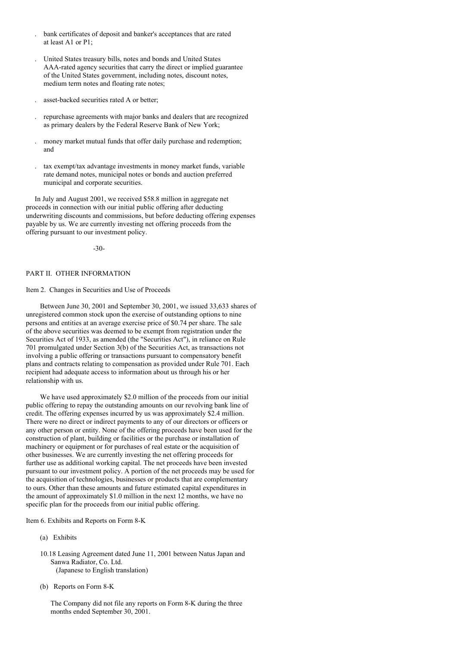- . bank certificates of deposit and banker's acceptances that are rated at least A1 or P1;
- . United States treasury bills, notes and bonds and United States AAA-rated agency securities that carry the direct or implied guarantee of the United States government, including notes, discount notes, medium term notes and floating rate notes;
- . asset-backed securities rated A or better;
- . repurchase agreements with major banks and dealers that are recognized as primary dealers by the Federal Reserve Bank of New York;
- . money market mutual funds that offer daily purchase and redemption; and
- . tax exempt/tax advantage investments in money market funds, variable rate demand notes, municipal notes or bonds and auction preferred municipal and corporate securities.

In July and August 2001, we received \$58.8 million in aggregate net proceeds in connection with our initial public offering after deducting underwriting discounts and commissions, but before deducting offering expenses payable by us. We are currently investing net offering proceeds from the offering pursuant to our investment policy.

-30-

## PART II. OTHER INFORMATION

## Item 2. Changes in Securities and Use of Proceeds

Between June 30, 2001 and September 30, 2001, we issued 33,633 shares of unregistered common stock upon the exercise of outstanding options to nine persons and entities at an average exercise price of \$0.74 per share. The sale of the above securities was deemed to be exempt from registration under the Securities Act of 1933, as amended (the "Securities Act"), in reliance on Rule 701 promulgated under Section 3(b) of the Securities Act, as transactions not involving a public offering or transactions pursuant to compensatory benefit plans and contracts relating to compensation as provided under Rule 701. Each recipient had adequate access to information about us through his or her relationship with us.

We have used approximately \$2.0 million of the proceeds from our initial public offering to repay the outstanding amounts on our revolving bank line of credit. The offering expenses incurred by us was approximately \$2.4 million. There were no direct or indirect payments to any of our directors or officers or any other person or entity. None of the offering proceeds have been used for the construction of plant, building or facilities or the purchase or installation of machinery or equipment or for purchases of real estate or the acquisition of other businesses. We are currently investing the net offering proceeds for further use as additional working capital. The net proceeds have been invested pursuant to our investment policy. A portion of the net proceeds may be used for the acquisition of technologies, businesses or products that are complementary to ours. Other than these amounts and future estimated capital expenditures in the amount of approximately \$1.0 million in the next 12 months, we have no specific plan for the proceeds from our initial public offering.

Item 6. Exhibits and Reports on Form 8-K

- (a) Exhibits
- 10.18 Leasing Agreement dated June 11, 2001 between Natus Japan and Sanwa Radiator, Co. Ltd. (Japanese to English translation)
- (b) Reports on Form 8-K

The Company did not file any reports on Form 8-K during the three months ended September 30, 2001.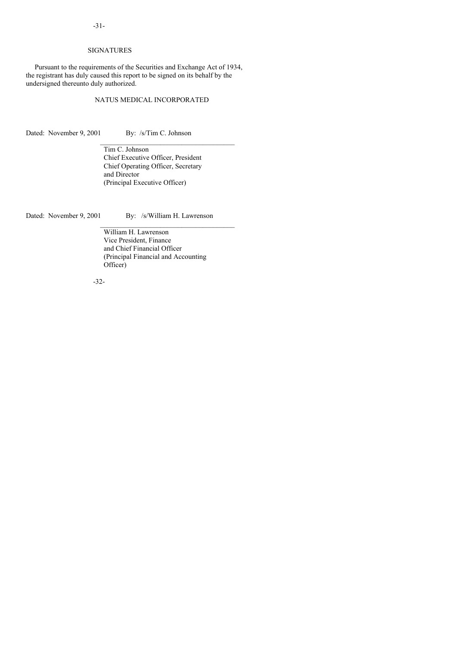## SIGNATURES

Pursuant to the requirements of the Securities and Exchange Act of 1934, the registrant has duly caused this report to be signed on its behalf by the undersigned thereunto duly authorized.

## NATUS MEDICAL INCORPORATED

Dated: November 9, 2001 By: /s/Tim C. Johnson

Tim C. Johnson Chief Executive Officer, President Chief Operating Officer, Secretary and Director (Principal Executive Officer)

Dated: November 9, 2001 By: /s/William H. Lawrenson

\_\_\_\_\_\_\_\_\_\_\_\_\_\_\_\_\_\_\_\_\_\_\_\_\_\_\_\_\_\_\_\_\_\_\_\_\_\_

William H. Lawrenson Vice President, Finance and Chief Financial Officer (Principal Financial and Accounting Officer)

-32-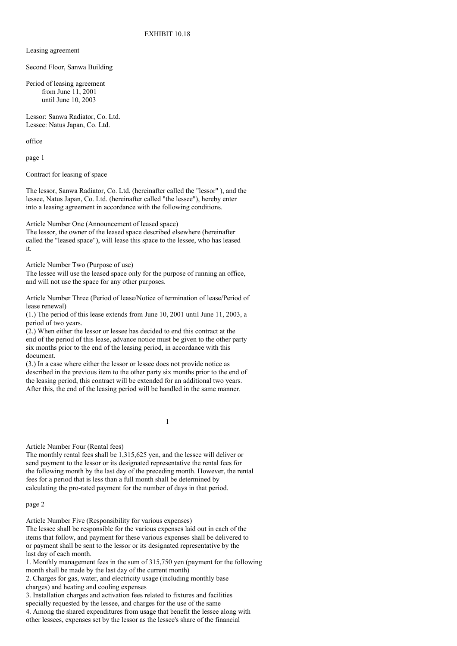Leasing agreement

Second Floor, Sanwa Building

Period of leasing agreement from June 11, 2001 until June 10, 2003

Lessor: Sanwa Radiator, Co. Ltd. Lessee: Natus Japan, Co. Ltd.

office

page 1

Contract for leasing of space

The lessor, Sanwa Radiator, Co. Ltd. (hereinafter called the "lessor" ), and the lessee, Natus Japan, Co. Ltd. (hereinafter called "the lessee"), hereby enter into a leasing agreement in accordance with the following conditions.

Article Number One (Announcement of leased space)

The lessor, the owner of the leased space described elsewhere (hereinafter called the "leased space"), will lease this space to the lessee, who has leased it.

Article Number Two (Purpose of use)

The lessee will use the leased space only for the purpose of running an office, and will not use the space for any other purposes.

Article Number Three (Period of lease/Notice of termination of lease/Period of lease renewal)

(1.) The period of this lease extends from June 10, 2001 until June 11, 2003, a period of two years.

(2.) When either the lessor or lessee has decided to end this contract at the end of the period of this lease, advance notice must be given to the other party six months prior to the end of the leasing period, in accordance with this document.

(3.) In a case where either the lessor or lessee does not provide notice as described in the previous item to the other party six months prior to the end of the leasing period, this contract will be extended for an additional two years. After this, the end of the leasing period will be handled in the same manner.

1

Article Number Four (Rental fees)

The monthly rental fees shall be 1,315,625 yen, and the lessee will deliver or send payment to the lessor or its designated representative the rental fees for the following month by the last day of the preceding month. However, the rental fees for a period that is less than a full month shall be determined by calculating the pro-rated payment for the number of days in that period.

page 2

Article Number Five (Responsibility for various expenses) The lessee shall be responsible for the various expenses laid out in each of the items that follow, and payment for these various expenses shall be delivered to or payment shall be sent to the lessor or its designated representative by the last day of each month.

1. Monthly management fees in the sum of 315,750 yen (payment for the following month shall be made by the last day of the current month)

2. Charges for gas, water, and electricity usage (including monthly base charges) and heating and cooling expenses

3. Installation charges and activation fees related to fixtures and facilities specially requested by the lessee, and charges for the use of the same 4. Among the shared expenditures from usage that benefit the lessee along with

other lessees, expenses set by the lessor as the lessee's share of the financial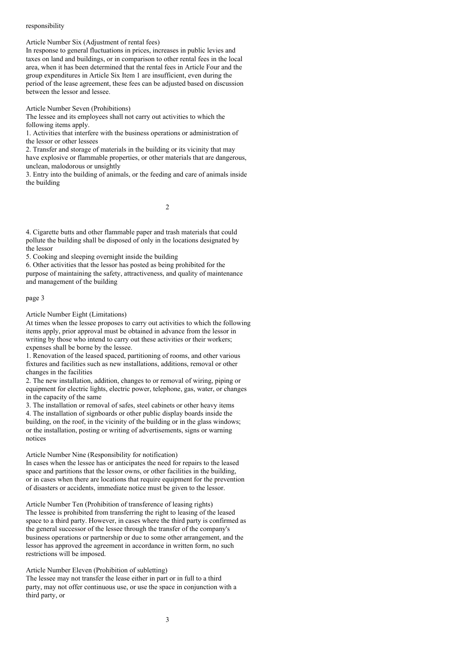## responsibility

Article Number Six (Adjustment of rental fees)

In response to general fluctuations in prices, increases in public levies and taxes on land and buildings, or in comparison to other rental fees in the local area, when it has been determined that the rental fees in Article Four and the group expenditures in Article Six Item 1 are insufficient, even during the period of the lease agreement, these fees can be adjusted based on discussion between the lessor and lessee.

Article Number Seven (Prohibitions)

The lessee and its employees shall not carry out activities to which the following items apply.

1. Activities that interfere with the business operations or administration of the lessor or other lessees

2. Transfer and storage of materials in the building or its vicinity that may have explosive or flammable properties, or other materials that are dangerous, unclean, malodorous or unsightly

3. Entry into the building of animals, or the feeding and care of animals inside the building

 $\overline{2}$ 

4. Cigarette butts and other flammable paper and trash materials that could pollute the building shall be disposed of only in the locations designated by the lessor

5. Cooking and sleeping overnight inside the building

6. Other activities that the lessor has posted as being prohibited for the purpose of maintaining the safety, attractiveness, and quality of maintenance and management of the building

## page 3

Article Number Eight (Limitations)

At times when the lessee proposes to carry out activities to which the following items apply, prior approval must be obtained in advance from the lessor in writing by those who intend to carry out these activities or their workers; expenses shall be borne by the lessee.

1. Renovation of the leased spaced, partitioning of rooms, and other various fixtures and facilities such as new installations, additions, removal or other changes in the facilities

2. The new installation, addition, changes to or removal of wiring, piping or equipment for electric lights, electric power, telephone, gas, water, or changes in the capacity of the same

3. The installation or removal of safes, steel cabinets or other heavy items 4. The installation of signboards or other public display boards inside the building, on the roof, in the vicinity of the building or in the glass windows; or the installation, posting or writing of advertisements, signs or warning notices

Article Number Nine (Responsibility for notification)

In cases when the lessee has or anticipates the need for repairs to the leased space and partitions that the lessor owns, or other facilities in the building, or in cases when there are locations that require equipment for the prevention of disasters or accidents, immediate notice must be given to the lessor.

Article Number Ten (Prohibition of transference of leasing rights) The lessee is prohibited from transferring the right to leasing of the leased space to a third party. However, in cases where the third party is confirmed as the general successor of the lessee through the transfer of the company's business operations or partnership or due to some other arrangement, and the lessor has approved the agreement in accordance in written form, no such restrictions will be imposed.

Article Number Eleven (Prohibition of subletting)

The lessee may not transfer the lease either in part or in full to a third party, may not offer continuous use, or use the space in conjunction with a third party, or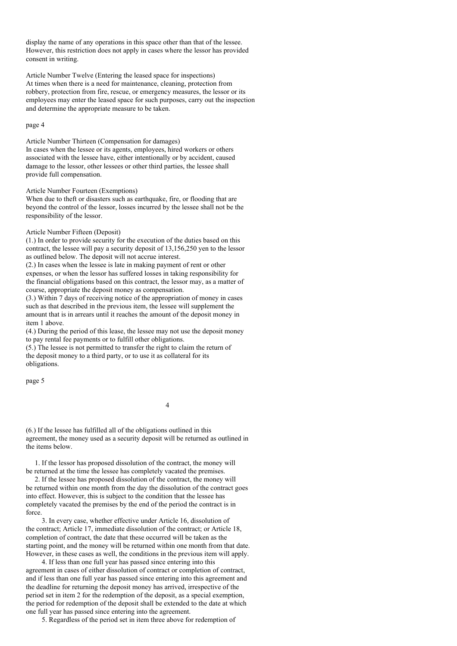display the name of any operations in this space other than that of the lessee. However, this restriction does not apply in cases where the lessor has provided consent in writing.

Article Number Twelve (Entering the leased space for inspections) At times when there is a need for maintenance, cleaning, protection from robbery, protection from fire, rescue, or emergency measures, the lessor or its employees may enter the leased space for such purposes, carry out the inspection and determine the appropriate measure to be taken.

### page 4

Article Number Thirteen (Compensation for damages) In cases when the lessee or its agents, employees, hired workers or others associated with the lessee have, either intentionally or by accident, caused damage to the lessor, other lessees or other third parties, the lessee shall provide full compensation.

### Article Number Fourteen (Exemptions)

When due to theft or disasters such as earthquake, fire, or flooding that are beyond the control of the lessor, losses incurred by the lessee shall not be the responsibility of the lessor.

## Article Number Fifteen (Deposit)

(1.) In order to provide security for the execution of the duties based on this contract, the lessee will pay a security deposit of 13,156,250 yen to the lessor as outlined below. The deposit will not accrue interest.

(2.) In cases when the lessee is late in making payment of rent or other expenses, or when the lessor has suffered losses in taking responsibility for the financial obligations based on this contract, the lessor may, as a matter of course, appropriate the deposit money as compensation.

(3.) Within 7 days of receiving notice of the appropriation of money in cases such as that described in the previous item, the lessee will supplement the amount that is in arrears until it reaches the amount of the deposit money in item 1 above.

(4.) During the period of this lease, the lessee may not use the deposit money to pay rental fee payments or to fulfill other obligations.

(5.) The lessee is not permitted to transfer the right to claim the return of the deposit money to a third party, or to use it as collateral for its obligations.

page 5

4

(6.) If the lessee has fulfilled all of the obligations outlined in this agreement, the money used as a security deposit will be returned as outlined in the items below.

1. If the lessor has proposed dissolution of the contract, the money will be returned at the time the lessee has completely vacated the premises.

2. If the lessee has proposed dissolution of the contract, the money will be returned within one month from the day the dissolution of the contract goes into effect. However, this is subject to the condition that the lessee has completely vacated the premises by the end of the period the contract is in force.

3. In every case, whether effective under Article 16, dissolution of the contract; Article 17, immediate dissolution of the contract; or Article 18, completion of contract, the date that these occurred will be taken as the starting point, and the money will be returned within one month from that date. However, in these cases as well, the conditions in the previous item will apply.

4. If less than one full year has passed since entering into this agreement in cases of either dissolution of contract or completion of contract, and if less than one full year has passed since entering into this agreement and the deadline for returning the deposit money has arrived, irrespective of the period set in item 2 for the redemption of the deposit, as a special exemption, the period for redemption of the deposit shall be extended to the date at which one full year has passed since entering into the agreement.

5. Regardless of the period set in item three above for redemption of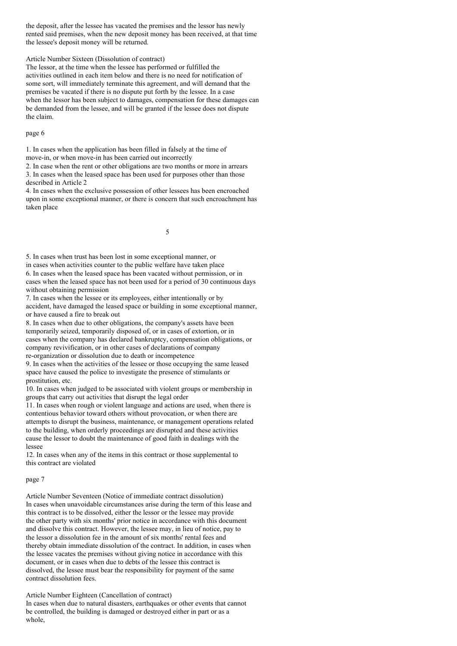the deposit, after the lessee has vacated the premises and the lessor has newly rented said premises, when the new deposit money has been received, at that time the lessee's deposit money will be returned.

Article Number Sixteen (Dissolution of contract)

The lessor, at the time when the lessee has performed or fulfilled the activities outlined in each item below and there is no need for notification of some sort, will immediately terminate this agreement, and will demand that the premises be vacated if there is no dispute put forth by the lessee. In a case when the lessor has been subject to damages, compensation for these damages can be demanded from the lessee, and will be granted if the lessee does not dispute the claim.

## page 6

1. In cases when the application has been filled in falsely at the time of move-in, or when move-in has been carried out incorrectly

2. In case when the rent or other obligations are two months or more in arrears 3. In cases when the leased space has been used for purposes other than those described in Article 2

4. In cases when the exclusive possession of other lessees has been encroached upon in some exceptional manner, or there is concern that such encroachment has taken place

5

5. In cases when trust has been lost in some exceptional manner, or in cases when activities counter to the public welfare have taken place 6. In cases when the leased space has been vacated without permission, or in cases when the leased space has not been used for a period of 30 continuous days without obtaining permission

7. In cases when the lessee or its employees, either intentionally or by accident, have damaged the leased space or building in some exceptional manner, or have caused a fire to break out

8. In cases when due to other obligations, the company's assets have been temporarily seized, temporarily disposed of, or in cases of extortion, or in cases when the company has declared bankruptcy, compensation obligations, or company revivification, or in other cases of declarations of company re-organization or dissolution due to death or incompetence

9. In cases when the activities of the lessee or those occupying the same leased space have caused the police to investigate the presence of stimulants or prostitution, etc.

10. In cases when judged to be associated with violent groups or membership in groups that carry out activities that disrupt the legal order

11. In cases when rough or violent language and actions are used, when there is contentious behavior toward others without provocation, or when there are attempts to disrupt the business, maintenance, or management operations related to the building, when orderly proceedings are disrupted and these activities cause the lessor to doubt the maintenance of good faith in dealings with the lessee

12. In cases when any of the items in this contract or those supplemental to this contract are violated

#### page 7

Article Number Seventeen (Notice of immediate contract dissolution) In cases when unavoidable circumstances arise during the term of this lease and this contract is to be dissolved, either the lessor or the lessee may provide the other party with six months' prior notice in accordance with this document and dissolve this contract. However, the lessee may, in lieu of notice, pay to the lessor a dissolution fee in the amount of six months' rental fees and thereby obtain immediate dissolution of the contract. In addition, in cases when the lessee vacates the premises without giving notice in accordance with this document, or in cases when due to debts of the lessee this contract is dissolved, the lessee must bear the responsibility for payment of the same contract dissolution fees.

Article Number Eighteen (Cancellation of contract)

In cases when due to natural disasters, earthquakes or other events that cannot be controlled, the building is damaged or destroyed either in part or as a whole,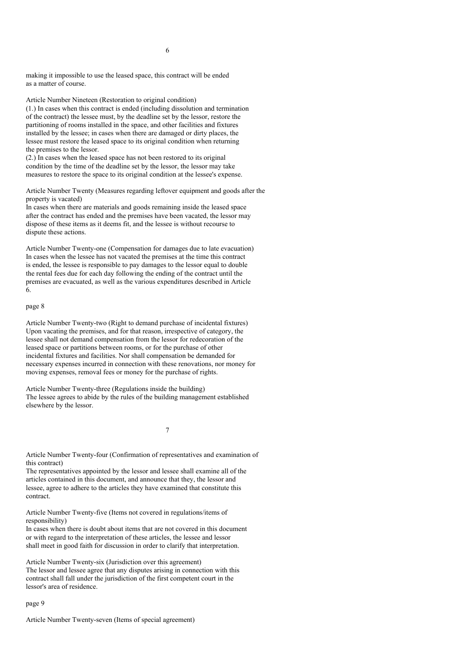making it impossible to use the leased space, this contract will be ended as a matter of course.

Article Number Nineteen (Restoration to original condition)

(1.) In cases when this contract is ended (including dissolution and termination of the contract) the lessee must, by the deadline set by the lessor, restore the partitioning of rooms installed in the space, and other facilities and fixtures installed by the lessee; in cases when there are damaged or dirty places, the lessee must restore the leased space to its original condition when returning the premises to the lessor.

(2.) In cases when the leased space has not been restored to its original condition by the time of the deadline set by the lessor, the lessor may take measures to restore the space to its original condition at the lessee's expense.

Article Number Twenty (Measures regarding leftover equipment and goods after the property is vacated)

In cases when there are materials and goods remaining inside the leased space after the contract has ended and the premises have been vacated, the lessor may dispose of these items as it deems fit, and the lessee is without recourse to dispute these actions.

Article Number Twenty-one (Compensation for damages due to late evacuation) In cases when the lessee has not vacated the premises at the time this contract is ended, the lessee is responsible to pay damages to the lessor equal to double the rental fees due for each day following the ending of the contract until the premises are evacuated, as well as the various expenditures described in Article 6.

#### page 8

Article Number Twenty-two (Right to demand purchase of incidental fixtures) Upon vacating the premises, and for that reason, irrespective of category, the lessee shall not demand compensation from the lessor for redecoration of the leased space or partitions between rooms, or for the purchase of other incidental fixtures and facilities. Nor shall compensation be demanded for necessary expenses incurred in connection with these renovations, nor money for moving expenses, removal fees or money for the purchase of rights.

Article Number Twenty-three (Regulations inside the building) The lessee agrees to abide by the rules of the building management established elsewhere by the lessor.

7

Article Number Twenty-four (Confirmation of representatives and examination of this contract)

The representatives appointed by the lessor and lessee shall examine all of the articles contained in this document, and announce that they, the lessor and lessee, agree to adhere to the articles they have examined that constitute this contract.

Article Number Twenty-five (Items not covered in regulations/items of responsibility)

In cases when there is doubt about items that are not covered in this document or with regard to the interpretation of these articles, the lessee and lessor shall meet in good faith for discussion in order to clarify that interpretation.

Article Number Twenty-six (Jurisdiction over this agreement) The lessor and lessee agree that any disputes arising in connection with this contract shall fall under the jurisdiction of the first competent court in the lessor's area of residence.

### page 9

Article Number Twenty-seven (Items of special agreement)